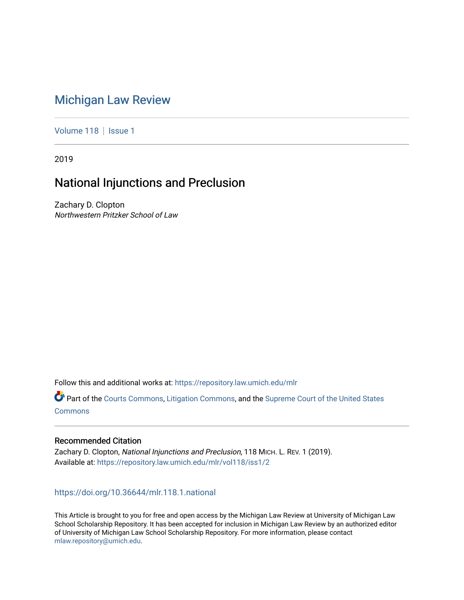# [Michigan Law Review](https://repository.law.umich.edu/mlr)

[Volume 118](https://repository.law.umich.edu/mlr/vol118) | [Issue 1](https://repository.law.umich.edu/mlr/vol118/iss1)

2019

# National Injunctions and Preclusion

Zachary D. Clopton Northwestern Pritzker School of Law

Follow this and additional works at: [https://repository.law.umich.edu/mlr](https://repository.law.umich.edu/mlr?utm_source=repository.law.umich.edu%2Fmlr%2Fvol118%2Fiss1%2F2&utm_medium=PDF&utm_campaign=PDFCoverPages) 

Part of the [Courts Commons,](http://network.bepress.com/hgg/discipline/839?utm_source=repository.law.umich.edu%2Fmlr%2Fvol118%2Fiss1%2F2&utm_medium=PDF&utm_campaign=PDFCoverPages) [Litigation Commons](http://network.bepress.com/hgg/discipline/910?utm_source=repository.law.umich.edu%2Fmlr%2Fvol118%2Fiss1%2F2&utm_medium=PDF&utm_campaign=PDFCoverPages), and the [Supreme Court of the United States](http://network.bepress.com/hgg/discipline/1350?utm_source=repository.law.umich.edu%2Fmlr%2Fvol118%2Fiss1%2F2&utm_medium=PDF&utm_campaign=PDFCoverPages)  [Commons](http://network.bepress.com/hgg/discipline/1350?utm_source=repository.law.umich.edu%2Fmlr%2Fvol118%2Fiss1%2F2&utm_medium=PDF&utm_campaign=PDFCoverPages)

### Recommended Citation

Zachary D. Clopton, National Injunctions and Preclusion, 118 MICH. L. REV. 1 (2019). Available at: [https://repository.law.umich.edu/mlr/vol118/iss1/2](https://repository.law.umich.edu/mlr/vol118/iss1/2?utm_source=repository.law.umich.edu%2Fmlr%2Fvol118%2Fiss1%2F2&utm_medium=PDF&utm_campaign=PDFCoverPages) 

<https://doi.org/10.36644/mlr.118.1.national>

This Article is brought to you for free and open access by the Michigan Law Review at University of Michigan Law School Scholarship Repository. It has been accepted for inclusion in Michigan Law Review by an authorized editor of University of Michigan Law School Scholarship Repository. For more information, please contact [mlaw.repository@umich.edu.](mailto:mlaw.repository@umich.edu)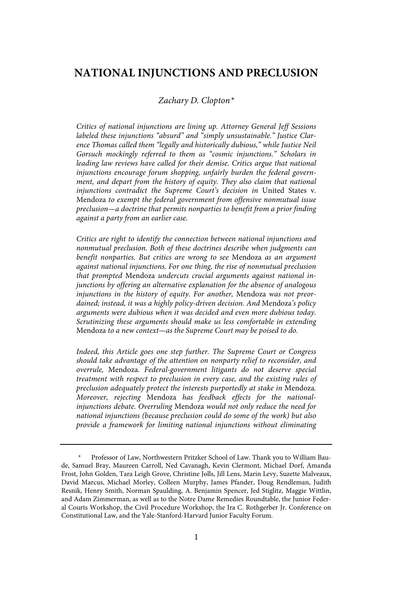# **NATIONAL INJUNCTIONS AND PRECLUSION**

#### Zachary D. Clopton\*

Critics of national injunctions are lining up. Attorney General Jeff Sessions labeled these injunctions "absurd" and "simply unsustainable." Justice Clarence Thomas called them "legally and historically dubious," while Justice Neil Gorsuch mockingly referred to them as "cosmic injunctions." Scholars in leading law reviews have called for their demise. Critics argue that national injunctions encourage forum shopping, unfairly burden the federal government, and depart from the history of equity. They also claim that national injunctions contradict the Supreme Court's decision in United States v. Mendoza to exempt the federal government from offensive nonmutual issue preclusion—a doctrine that permits nonparties to benefit from a prior finding against a party from an earlier case.

Critics are right to identify the connection between national injunctions and nonmutual preclusion. Both of these doctrines describe when judgments can benefit nonparties. But critics are wrong to see Mendoza as an argument against national injunctions. For one thing, the rise of nonmutual preclusion that prompted Mendoza undercuts crucial arguments against national injunctions by offering an alternative explanation for the absence of analogous injunctions in the history of equity. For another, Mendoza was not preordained; instead, it was a highly policy-driven decision. And Mendoza's policy arguments were dubious when it was decided and even more dubious today . Scrutinizing these arguments should make us less comfortable in extending Mendoza to a new context—as the Supreme Court may be poised to do.

Indeed, this Article goes one step further. The Supreme Court or Congress should take advantage of the attention on nonparty relief to reconsider, and overrule, Mendoza . Federal-government litigants do not deserve special treatment with respect to preclusion in every case, and the existing rules of preclusion adequately protect the interests purportedly at stake in Mendoza. Moreover, rejecting Mendoza has feedback effects for the nationalinjunctions debate. Overruling Mendoza would not only reduce the need for national injunctions (because preclusion could do some of the work) but also provide a framework for limiting national injunctions without eliminating

<sup>\*</sup> Professor of Law, Northwestern Pritzker School of Law. Thank you to William Baude, Samuel Bray, Maureen Carroll, Ned Cavanagh, Kevin Clermont, Michael Dorf, Amanda Frost, John Golden, Tara Leigh Grove, Christine Jolls, Jill Lens, Marin Levy, Suzette Malveaux, David Marcus, Michael Morley, Colleen Murphy, James Pfander, Doug Rendleman, Judith Resnik, Henry Smith, Norman Spaulding, A. Benjamin Spencer, Jed Stiglitz, Maggie Wittlin, and Adam Zimmerman, as well as to the Notre Dame Remedies Roundtable, the Junior Federal Courts Workshop, the Civil Procedure Workshop, the Ira C. Rothgerber Jr. Conference on Constitutional Law, and the Yale-Stanford-Harvard Junior Faculty Forum.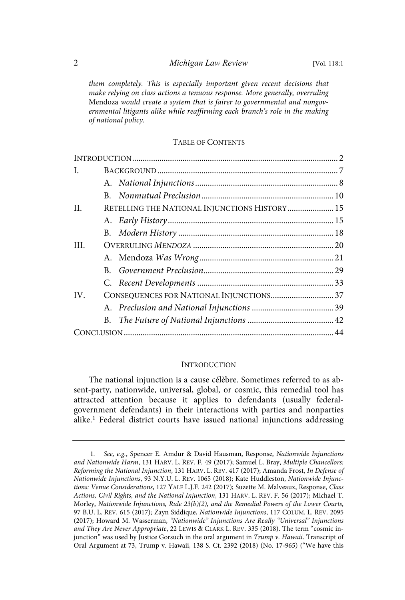them completely. This is especially important given recent decisions that make relying on class actions a tenuous response. More generally, overruling Mendoza would create a system that is fairer to governmental and nongovernmental litigants alike while reaffirming each branch's role in the making of national policy.

#### TABLE OF CONTENTS

| I.  |                                               |  |  |
|-----|-----------------------------------------------|--|--|
|     |                                               |  |  |
|     | $B_{\cdot}$                                   |  |  |
| H.  | RETELLING THE NATIONAL INJUNCTIONS HISTORY 15 |  |  |
|     |                                               |  |  |
|     |                                               |  |  |
| HL. |                                               |  |  |
|     |                                               |  |  |
|     |                                               |  |  |
|     |                                               |  |  |
| IV. |                                               |  |  |
|     |                                               |  |  |
|     |                                               |  |  |
|     |                                               |  |  |

#### INTRODUCTION

The national injunction is a cause célèbre. Sometimes referred to as absent-party, nationwide, universal, global, or cosmic, this remedial tool has attracted attention because it applies to defendants (usually federalgovernment defendants) in their interactions with parties and nonparties alike. <sup>1</sup> Federal district courts have issued national injunctions addressing

<sup>1.</sup> See, e.g., Spencer E. Amdur & David Hausman, Response, Nationwide Injunctions and Nationwide Harm, 131 HARV. L. REV. F. 49 (2017); Samuel L. Bray, Multiple Chancellors: Reforming the National Injunction, 131 HARV. L. REV. 417 (2017); Amanda Frost, In Defense of Nationwide Injunctions, 93 N.Y.U. L. REV. 1065 (2018); Kate Huddleston, Nationwide Injunctions: Venue Considerations, 127 YALE L.J.F. 242 (2017); Suzette M. Malveaux, Response, Class Actions, Civil Rights, and the National Injunction, 131 HARV. L. REV. F. 56 (2017); Michael T. Morley, Nationwide Injunctions, Rule 23(b)(2), and the Remedial Powers of the Lower Courts, 97 B.U. L. REV. 615 (2017); Zayn Siddique, Nationwide Injunctions, 117 COLUM. L. REV. 2095 (2017); Howard M. Wasserman, "Nationwide" Injunctions Are Really "Universal" Injunctions and They Are Never Appropriate, 22 LEWIS & CLARK L. REV. 335 (2018). The term "cosmic injunction" was used by Justice Gorsuch in the oral argument in  $Trump$  v. Hawaii. Transcript of Oral Argument at 73, Trump v. Hawaii, 138 S. Ct. 2392 (2018) (No. 17-965) ("We have this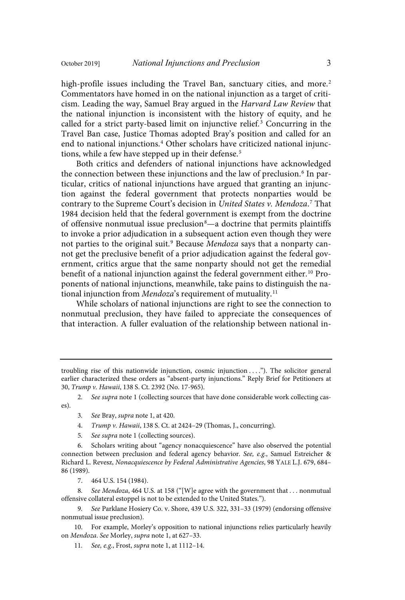high-profile issues including the Travel Ban, sanctuary cities, and more.<sup>2</sup> Commentators have homed in on the national injunction as a target of criticism. Leading the way, Samuel Bray argued in the Harvard Law Review that the national injunction is inconsistent with the history of equity, and he called for a strict party-based limit on injunctive relief. <sup>3</sup> Concurring in the Travel Ban case, Justice Thomas adopted Bray's position and called for an end to national injunctions. <sup>4</sup> Other scholars have criticized national injunctions, while a few have stepped up in their defense.<sup>5</sup>

Both critics and defenders of national injunctions have acknowledged the connection between these injunctions and the law of preclusion.<sup>6</sup> In particular, critics of national injunctions have argued that granting an injunction against the federal government that protects nonparties would be contrary to the Supreme Court's decision in United States v. Mendoza.<sup>7</sup> That 1984 decision held that the federal government is exempt from the doctrine of offensive nonmutual issue preclusion<sup>8</sup>—a doctrine that permits plaintiffs to invoke a prior adjudication in a subsequent action even though they were not parties to the original suit.<sup>9</sup> Because *Mendoza* says that a nonparty cannot get the preclusive benefit of a prior adjudication against the federal government, critics argue that the same nonparty should not get the remedial benefit of a national injunction against the federal government either. <sup>10</sup> Proponents of national injunctions, meanwhile, take pains to distinguish the national injunction from Mendoza's requirement of mutuality.<sup>11</sup>

While scholars of national injunctions are right to see the connection to nonmutual preclusion, they have failed to appreciate the consequences of that interaction. A fuller evaluation of the relationship between national in-

- 3. See Bray, supra note 1, at 420.
- 4. Trump v. Hawaii, 138 S. Ct. at 2424-29 (Thomas, J., concurring).
- 5. See supra note 1 (collecting sources).

8. See Mendoza, 464 U.S. at 158 ("[W]e agree with the government that . . . nonmutual offensive collateral estoppel is not to be extended to the United States.").

9. See Parklane Hosiery Co. v. Shore, 439 U.S. 322, 331-33 (1979) (endorsing offensive nonmutual issue preclusion).

10. For example, Morley's opposition to national injunctions relies particularly heavily on Mendoza. See Morley, supra note 1, at 627–33.

11. See, e.g., Frost, supra note 1, at 1112-14.

troubling rise of this nationwide injunction, cosmic injunction . . . ."). The solicitor general earlier characterized these orders as "absent-party injunctions." Reply Brief for Petitioners at 30, Trump v. Hawaii, 138 S. Ct. 2392 (No. 17-965).

<sup>2.</sup> See supra note 1 (collecting sources that have done considerable work collecting cases).

<sup>6.</sup> Scholars writing about "agency nonacquiescence" have also observed the potential connection between preclusion and federal agency behavior. See, e.g., Samuel Estreicher & Richard L. Revesz, Nonacquiescence by Federal Administrative Agencies, 98 YALE L.J. 679, 684– 86 (1989).

<sup>7.</sup> 464 U.S. 154 (1984).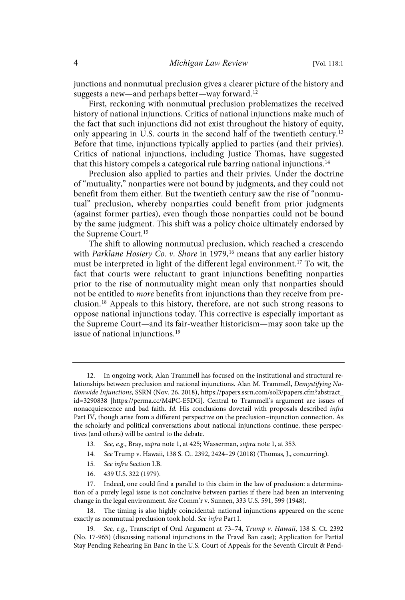junctions and nonmutual preclusion gives a clearer picture of the history and suggests a new-and perhaps better-way forward.<sup>12</sup>

First, reckoning with nonmutual preclusion problematizes the received history of national injunctions. Critics of national injunctions make much of the fact that such injunctions did not exist throughout the history of equity, only appearing in U.S. courts in the second half of the twentieth century.<sup>13</sup> Before that time, injunctions typically applied to parties (and their privies). Critics of national injunctions, including Justice Thomas, have suggested that this history compels a categorical rule barring national injunctions.<sup>14</sup>

Preclusion also applied to parties and their privies. Under the doctrine of "mutuality," nonparties were not bound by judgments, and they could not benefit from them either. But the twentieth century saw the rise of "nonmutual" preclusion, whereby nonparties could benefit from prior judgments (against former parties), even though those nonparties could not be bound by the same judgment. This shift was a policy choice ultimately endorsed by the Supreme Court. 15

The shift to allowing nonmutual preclusion, which reached a crescendo with Parklane Hosiery Co. v. Shore in 1979,<sup>16</sup> means that any earlier history must be interpreted in light of the different legal environment. <sup>17</sup> To wit, the fact that courts were reluctant to grant injunctions benefiting nonparties prior to the rise of nonmutuality might mean only that nonparties should not be entitled to more benefits from injunctions than they receive from preclusion.<sup>18</sup> Appeals to this history, therefore, are not such strong reasons to oppose national injunctions today. This corrective is especially important as the Supreme Court—and its fair-weather historicism—may soon take up the issue of national injunctions. 19

- 13. See, e.g., Bray, supra note 1, at 425; Wasserman, supra note 1, at 353.
- 14 . See Trump v. Hawaii, 138 S. Ct. 2392, 2424–29 (2018) (Thomas, J., concurring).
- 15. See infra Section I.B.
- 16. 439 U.S. 322 (1979).

18. The timing is also highly coincidental: national injunctions appeared on the scene exactly as nonmutual preclusion took hold. See infra Part I.

<sup>12.</sup> In ongoing work, Alan Trammell has focused on the institutional and structural relationships between preclusion and national injunctions. Alan M. Trammell, Demystifying Nationwide Injunctions, SSRN (Nov. 26, 2018), https://papers.ssrn.com/sol3/papers.cfm?abstract\_ id=3290838 [https://perma.cc/M4PC-E5DG]. Central to Trammell's argument are issues of nonacquiescence and bad faith. Id. His conclusions dovetail with proposals described infra Part IV, though arise from a different perspective on the preclusion–injunction connection. As the scholarly and political conversations about national injunctions continue, these perspectives (and others) will be central to the debate.

<sup>17.</sup> Indeed, one could find a parallel to this claim in the law of preclusion: a determination of a purely legal issue is not conclusive between parties if there had been an intervening change in the legal environment. See Comm'r v. Sunnen, 333 U.S. 591, 599 (1948).

<sup>19.</sup> See, e.g., Transcript of Oral Argument at 73-74, Trump v. Hawaii, 138 S. Ct. 2392 (No. 17-965) (discussing national injunctions in the Travel Ban case); Application for Partial Stay Pending Rehearing En Banc in the U.S. Court of Appeals for the Seventh Circuit & Pend-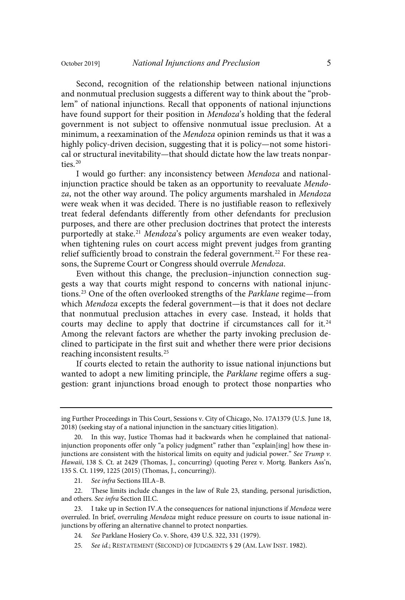Second, recognition of the relationship between national injunctions and nonmutual preclusion suggests a different way to think about the "problem" of national injunctions. Recall that opponents of national injunctions have found support for their position in Mendoza's holding that the federal government is not subject to offensive nonmutual issue preclusion. At a minimum, a reexamination of the Mendoza opinion reminds us that it was a highly policy-driven decision, suggesting that it is policy—not some historical or structural inevitability—that should dictate how the law treats nonparties.<sup>20</sup>

I would go further: any inconsistency between Mendoza and nationalinjunction practice should be taken as an opportunity to reevaluate Mendoza, not the other way around. The policy arguments marshaled in Mendoza were weak when it was decided. There is no justifiable reason to reflexively treat federal defendants differently from other defendants for preclusion purposes, and there are other preclusion doctrines that protect the interests purportedly at stake.<sup>21</sup> Mendoza's policy arguments are even weaker today, when tightening rules on court access might prevent judges from granting relief sufficiently broad to constrain the federal government.<sup>22</sup> For these reasons, the Supreme Court or Congress should overrule Mendoza.

Even without this change, the preclusion–injunction connection suggests a way that courts might respond to concerns with national injunctions.<sup>23</sup> One of the often overlooked strengths of the Parklane regime—from which Mendoza excepts the federal government- is that it does not declare that nonmutual preclusion attaches in every case. Instead, it holds that courts may decline to apply that doctrine if circumstances call for it.<sup>24</sup> Among the relevant factors are whether the party invoking preclusion declined to participate in the first suit and whether there were prior decisions reaching inconsistent results. 25

If courts elected to retain the authority to issue national injunctions but wanted to adopt a new limiting principle, the Parklane regime offers a suggestion: grant injunctions broad enough to protect those nonparties who

21. See infra Sections III.A-B.

22. These limits include changes in the law of Rule 23, standing, personal jurisdiction, and others. See infra Section III.C.

23. I take up in Section IV.A the consequences for national injunctions if Mendoza were overruled. In brief, overruling Mendoza might reduce pressure on courts to issue national injunctions by offering an alternative channel to protect nonparties.

24 . See Parklane Hosiery Co. v. Shore, 439 U.S. 322, 331 (1979).

25. See id.; RESTATEMENT (SECOND) OF JUDGMENTS § 29 (AM. LAW INST. 1982).

ing Further Proceedings in This Court, Sessions v. City of Chicago, No. 17A1379 (U.S. June 18, 2018) (seeking stay of a national injunction in the sanctuary cities litigation).

<sup>20.</sup> In this way, Justice Thomas had it backwards when he complained that nationalinjunction proponents offer only "a policy judgment" rather than "explain[ing] how these injunctions are consistent with the historical limits on equity and judicial power." See Trump  $\nu$ . Hawaii, 138 S. Ct. at 2429 (Thomas, J., concurring) (quoting Perez v. Mortg. Bankers Ass'n, 135 S. Ct. 1199, 1225 (2015) (Thomas, J., concurring)).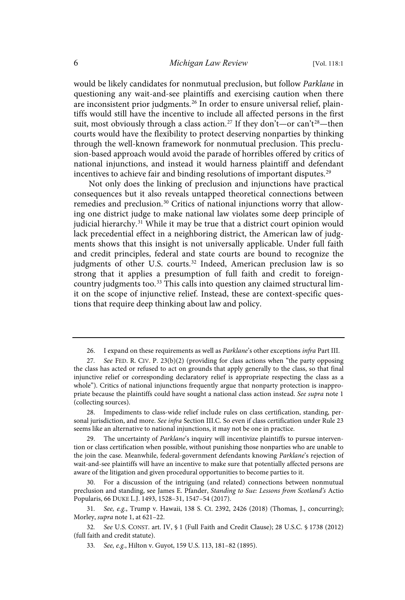would be likely candidates for nonmutual preclusion, but follow Parklane in questioning any wait-and-see plaintiffs and exercising caution when there are inconsistent prior judgments.<sup>26</sup> In order to ensure universal relief, plaintiffs would still have the incentive to include all affected persons in the first suit, most obviously through a class action.<sup>27</sup> If they don't—or can't<sup>28</sup>—then courts would have the flexibility to protect deserving nonparties by thinking through the well-known framework for nonmutual preclusion. This preclusion-based approach would avoid the parade of horribles offered by critics of national injunctions, and instead it would harness plaintiff and defendant incentives to achieve fair and binding resolutions of important disputes.<sup>25</sup>

Not only does the linking of preclusion and injunctions have practical consequences but it also reveals untapped theoretical connections between remedies and preclusion.<sup>30</sup> Critics of national injunctions worry that allowing one district judge to make national law violates some deep principle of judicial hierarchy. <sup>31</sup> While it may be true that a district court opinion would lack precedential effect in a neighboring district, the American law of judgments shows that this insight is not universally applicable. Under full faith and credit principles, federal and state courts are bound to recognize the judgments of other U.S. courts.<sup>32</sup> Indeed, American preclusion law is so strong that it applies a presumption of full faith and credit to foreigncountry judgments too.<sup>33</sup> This calls into question any claimed structural limit on the scope of injunctive relief. Instead, these are context-specific questions that require deep thinking about law and policy.

28. Impediments to class-wide relief include rules on class certification, standing, personal jurisdiction, and more. See infra Section III.C. So even if class certification under Rule 23 seems like an alternative to national injunctions, it may not be one in practice.

The uncertainty of Parklane's inquiry will incentivize plaintiffs to pursue intervention or class certification when possible, without punishing those nonparties who are unable to the join the case. Meanwhile, federal-government defendants knowing Parklane's rejection of wait-and-see plaintiffs will have an incentive to make sure that potentially affected persons are aware of the litigation and given procedural opportunities to become parties to it.

30. For a discussion of the intriguing (and related) connections between nonmutual preclusion and standing, see James E. Pfander, Standing to Sue: Lessons from Scotland's Actio Popularis, 66 DUKE L.J. 1493, 1528–31, 1547–54 (2017).

31. See, e.g., Trump v. Hawaii, 138 S. Ct. 2392, 2426 (2018) (Thomas, J., concurring); Morley, supra note 1, at 621–22.

32 . See U.S. CONST. art. IV, § 1 (Full Faith and Credit Clause); 28 U.S.C. § 1738 (2012) (full faith and credit statute).

<sup>26.</sup> I expand on these requirements as well as Parklane's other exceptions infra Part III.

<sup>27.</sup> See FED. R. CIV. P. 23(b)(2) (providing for class actions when "the party opposing the class has acted or refused to act on grounds that apply generally to the class, so that final injunctive relief or corresponding declaratory relief is appropriate respecting the class as a whole"). Critics of national injunctions frequently argue that nonparty protection is inappropriate because the plaintiffs could have sought a national class action instead. See supra note 1 (collecting sources).

<sup>33.</sup> See, e.g., Hilton v. Guyot, 159 U.S. 113, 181-82 (1895).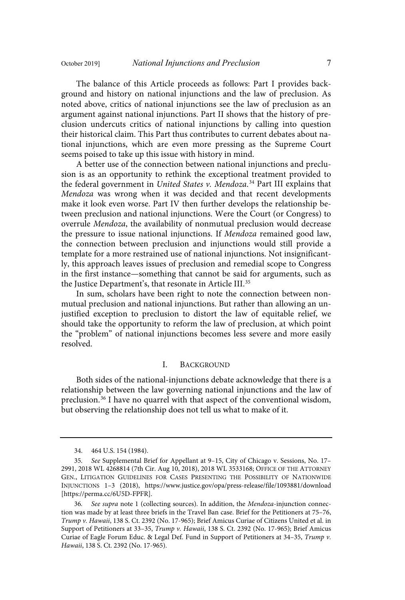The balance of this Article proceeds as follows: Part I provides background and history on national injunctions and the law of preclusion. As noted above, critics of national injunctions see the law of preclusion as an argument against national injunctions. Part II shows that the history of preclusion undercuts critics of national injunctions by calling into question their historical claim. This Part thus contributes to current debates about national injunctions, which are even more pressing as the Supreme Court seems poised to take up this issue with history in mind.

A better use of the connection between national injunctions and preclusion is as an opportunity to rethink the exceptional treatment provided to the federal government in *United States v. Mendoza.*<sup>34</sup> Part III explains that Mendoza was wrong when it was decided and that recent developments make it look even worse. Part IV then further develops the relationship between preclusion and national injunctions. Were the Court (or Congress) to overrule Mendoza, the availability of nonmutual preclusion would decrease the pressure to issue national injunctions. If Mendoza remained good law, the connection between preclusion and injunctions would still provide a template for a more restrained use of national injunctions. Not insignificantly, this approach leaves issues of preclusion and remedial scope to Congress in the first instance—something that cannot be said for arguments, such as the Justice Department's, that resonate in Article III.<sup>35</sup>

In sum, scholars have been right to note the connection between nonmutual preclusion and national injunctions. But rather than allowing an unjustified exception to preclusion to distort the law of equitable relief, we should take the opportunity to reform the law of preclusion, at which point the "problem" of national injunctions becomes less severe and more easily resolved.

#### I. BACKGROUND

Both sides of the national-injunctions debate acknowledge that there is a relationship between the law governing national injunctions and the law of preclusion. <sup>36</sup> I have no quarrel with that aspect of the conventional wisdom, but observing the relationship does not tell us what to make of it.

<sup>34.</sup> 464 U.S. 154 (1984).

<sup>35.</sup> See Supplemental Brief for Appellant at 9-15, City of Chicago v. Sessions, No. 17-2991, 2018 WL 4268814 (7th Cir. Aug 10, 2018), 2018 WL 3533168; OFFICE OF THE ATTORNEY GEN., LITIGATION GUIDELINES FOR CASES PRESENTING THE POSSIBILITY OF NATIONWIDE INJUNCTIONS 1–3 (2018), https://www.justice.gov/opa/press-release/file/1093881/download [https://perma.cc/6U5D-FPFR].

<sup>36.</sup> See supra note 1 (collecting sources). In addition, the Mendoza-injunction connection was made by at least three briefs in the Travel Ban case. Brief for the Petitioners at 75–76, Trump v. Hawaii, 138 S. Ct. 2392 (No. 17-965); Brief Amicus Curiae of Citizens United et al. in Support of Petitioners at 33-35, Trump v. Hawaii, 138 S. Ct. 2392 (No. 17-965); Brief Amicus Curiae of Eagle Forum Educ. & Legal Def. Fund in Support of Petitioners at 34-35, Trump v. Hawaii, 138 S. Ct. 2392 (No. 17-965).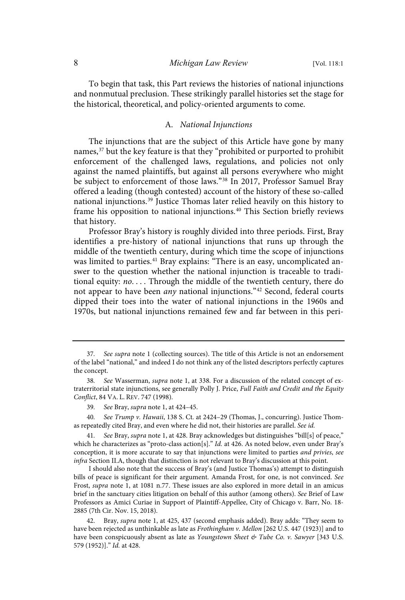To begin that task, this Part reviews the histories of national injunctions and nonmutual preclusion. These strikingly parallel histories set the stage for the historical, theoretical, and policy-oriented arguments to come.

#### A. National Injunctions

The injunctions that are the subject of this Article have gone by many names,<sup>37</sup> but the key feature is that they "prohibited or purported to prohibit enforcement of the challenged laws, regulations, and policies not only against the named plaintiffs, but against all persons everywhere who might be subject to enforcement of those laws."<sup>38</sup> In 2017, Professor Samuel Bray offered a leading (though contested) account of the history of these so-called national injunctions.<sup>39</sup> Justice Thomas later relied heavily on this history to frame his opposition to national injunctions.<sup>40</sup> This Section briefly reviews that history.

Professor Bray's history is roughly divided into three periods. First, Bray identifies a pre-history of national injunctions that runs up through the middle of the twentieth century, during which time the scope of injunctions was limited to parties.<sup>41</sup> Bray explains: "There is an easy, uncomplicated answer to the question whether the national injunction is traceable to traditional equity: no. . . . Through the middle of the twentieth century, there do not appear to have been *any* national injunctions."<sup>42</sup> Second, federal courts dipped their toes into the water of national injunctions in the 1960s and 1970s, but national injunctions remained few and far between in this peri-

40. See Trump v. Hawaii, 138 S. Ct. at 2424-29 (Thomas, J., concurring). Justice Thomas repeatedly cited Bray, and even where he did not, their histories are parallel. See id.

<sup>37</sup> . See supra note 1 (collecting sources). The title of this Article is not an endorsement of the label "national," and indeed I do not think any of the listed descriptors perfectly captures the concept.

<sup>38.</sup> See Wasserman, supra note 1, at 338. For a discussion of the related concept of extraterritorial state injunctions, see generally Polly J. Price, Full Faith and Credit and the Equity Conflict, 84 VA. L. REV. 747 (1998).

<sup>39.</sup> See Bray, supra note 1, at 424-45.

See Bray, supra note 1, at 428. Bray acknowledges but distinguishes "bill[s] of peace," which he characterizes as "proto-class action[s]." Id. at 426. As noted below, even under Bray's conception, it is more accurate to say that injunctions were limited to parties and privies, see infra Section II.A, though that distinction is not relevant to Bray's discussion at this point.

I should also note that the success of Bray's (and Justice Thomas's) attempt to distinguish bills of peace is significant for their argument. Amanda Frost, for one, is not convinced. See Frost, supra note 1, at 1081 n.77. These issues are also explored in more detail in an amicus brief in the sanctuary cities litigation on behalf of this author (among others). See Brief of Law Professors as Amici Curiae in Support of Plaintiff-Appellee, City of Chicago v. Barr, No. 18- 2885 (7th Cir. Nov. 15, 2018).

<sup>42.</sup> Bray, supra note 1, at 425, 437 (second emphasis added). Bray adds: "They seem to have been rejected as unthinkable as late as Frothingham v. Mellon [262 U.S. 447 (1923)] and to have been conspicuously absent as late as Youngstown Sheet & Tube Co. v. Sawyer [343 U.S. 579 (1952)]." Id. at 428.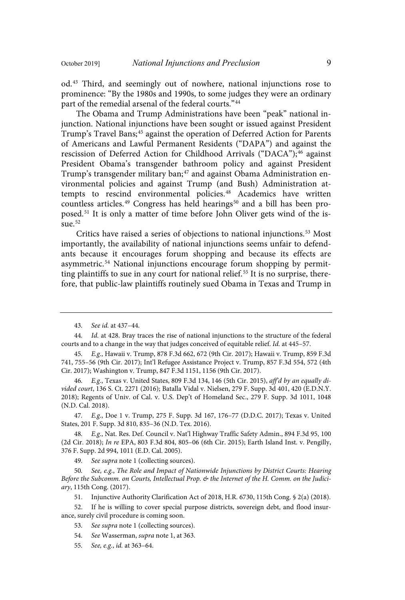od. <sup>43</sup> Third, and seemingly out of nowhere, national injunctions rose to prominence: "By the 1980s and 1990s, to some judges they were an ordinary part of the remedial arsenal of the federal courts." 44

The Obama and Trump Administrations have been "peak" national injunction. National injunctions have been sought or issued against President Trump's Travel Bans;<sup>45</sup> against the operation of Deferred Action for Parents of Americans and Lawful Permanent Residents ("DAPA") and against the rescission of Deferred Action for Childhood Arrivals ("DACA"); <sup>46</sup> against President Obama's transgender bathroom policy and against President Trump's transgender military ban;<sup>47</sup> and against Obama Administration environmental policies and against Trump (and Bush) Administration attempts to rescind environmental policies.<sup>48</sup> Academics have written countless articles.<sup>49</sup> Congress has held hearings<sup>50</sup> and a bill has been proposed.<sup>51</sup> It is only a matter of time before John Oliver gets wind of the issue. 52

Critics have raised a series of objections to national injunctions.<sup>53</sup> Most importantly, the availability of national injunctions seems unfair to defendants because it encourages forum shopping and because its effects are asymmetric. <sup>54</sup> National injunctions encourage forum shopping by permitting plaintiffs to sue in any court for national relief. <sup>55</sup> It is no surprise, therefore, that public-law plaintiffs routinely sued Obama in Texas and Trump in

47. E.g., Doe 1 v. Trump, 275 F. Supp. 3d 167, 176-77 (D.D.C. 2017); Texas v. United States, 201 F. Supp. 3d 810, 835–36 (N.D. Tex. 2016).

48. E.g., Nat. Res. Def. Council v. Nat'l Highway Traffic Safety Admin., 894 F.3d 95, 100 (2d Cir. 2018); In re EPA, 803 F.3d 804, 805–06 (6th Cir. 2015); Earth Island Inst. v. Pengilly, 376 F. Supp. 2d 994, 1011 (E.D. Cal. 2005).

49. See supra note 1 (collecting sources).

50. See, e.g., The Role and Impact of Nationwide Injunctions by District Courts: Hearing Before the Subcomm. on Courts, Intellectual Prop. & the Internet of the H. Comm. on the Judiciary, 115th Cong. (2017).

51. Injunctive Authority Clarification Act of 2018, H.R. 6730, 115th Cong. § 2(a) (2018).

52. If he is willing to cover special purpose districts, sovereign debt, and flood insurance, surely civil procedure is coming soon.

53. See supra note 1 (collecting sources).

54. See Wasserman, supra note 1, at 363.

55. See, e.g., id. at 363-64.

<sup>43.</sup> See id. at 437-44.

<sup>44.</sup> *Id.* at 428. Bray traces the rise of national injunctions to the structure of the federal courts and to a change in the way that judges conceived of equitable relief. Id. at 445-57.

<sup>45.</sup> E.g., Hawaii v. Trump, 878 F.3d 662, 672 (9th Cir. 2017); Hawaii v. Trump, 859 F.3d 741, 755–56 (9th Cir. 2017); Int'l Refugee Assistance Project v. Trump, 857 F.3d 554, 572 (4th Cir. 2017); Washington v. Trump, 847 F.3d 1151, 1156 (9th Cir. 2017).

<sup>46.</sup> E.g., Texas v. United States, 809 F.3d 134, 146 (5th Cir. 2015), aff'd by an equally divided court, 136 S. Ct. 2271 (2016); Batalla Vidal v. Nielsen, 279 F. Supp. 3d 401, 420 (E.D.N.Y. 2018); Regents of Univ. of Cal. v. U.S. Dep't of Homeland Sec., 279 F. Supp. 3d 1011, 1048 (N.D. Cal. 2018).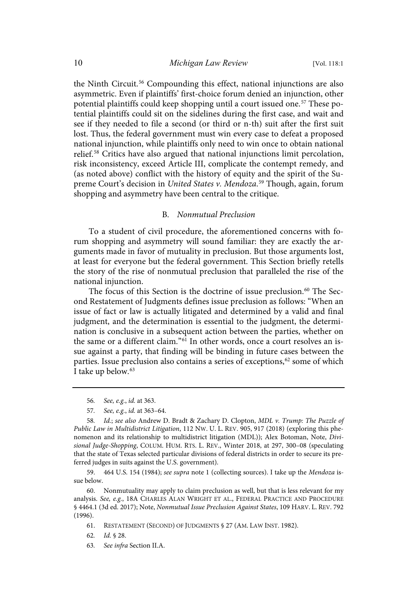the Ninth Circuit. <sup>56</sup> Compounding this effect, national injunctions are also asymmetric. Even if plaintiffs' first-choice forum denied an injunction, other potential plaintiffs could keep shopping until a court issued one.<sup>57</sup> These potential plaintiffs could sit on the sidelines during the first case, and wait and see if they needed to file a second (or third or n-th) suit after the first suit lost. Thus, the federal government must win every case to defeat a proposed national injunction, while plaintiffs only need to win once to obtain national relief. <sup>58</sup> Critics have also argued that national injunctions limit percolation, risk inconsistency, exceed Article III, complicate the contempt remedy, and (as noted above) conflict with the history of equity and the spirit of the Supreme Court's decision in United States v. Mendoza.<sup>59</sup> Though, again, forum shopping and asymmetry have been central to the critique.

### B. Nonmutual Preclusion

To a student of civil procedure, the aforementioned concerns with forum shopping and asymmetry will sound familiar: they are exactly the arguments made in favor of mutuality in preclusion. But those arguments lost, at least for everyone but the federal government. This Section briefly retells the story of the rise of nonmutual preclusion that paralleled the rise of the national injunction.

The focus of this Section is the doctrine of issue preclusion. <sup>60</sup> The Second Restatement of Judgments defines issue preclusion as follows: "When an issue of fact or law is actually litigated and determined by a valid and final judgment, and the determination is essential to the judgment, the determination is conclusive in a subsequent action between the parties, whether on the same or a different claim." <sup>61</sup> In other words, once a court resolves an issue against a party, that finding will be binding in future cases between the parties. Issue preclusion also contains a series of exceptions,<sup>62</sup> some of which I take up below. 63

59. 464 U.S. 154 (1984); see supra note 1 (collecting sources). I take up the Mendoza issue below.

60. Nonmutuality may apply to claim preclusion as well, but that is less relevant for my analysis. See, e.g., 18A CHARLES ALAN WRIGHT ET AL., FEDERAL PRACTICE AND PROCEDURE § 4464.1 (3d ed. 2017); Note, Nonmutual Issue Preclusion Against States, 109 HARV. L. REV. 792 (1996).

<sup>56.</sup> See, e.g., id. at 363.

<sup>57.</sup> See, e.g., id. at 363-64.

<sup>58.</sup> Id.; see also Andrew D. Bradt & Zachary D. Clopton, MDL v. Trump: The Puzzle of Public Law in Multidistrict Litigation, 112 NW. U. L. REV. 905, 917 (2018) (exploring this phenomenon and its relationship to multidistrict litigation (MDL)); Alex Botoman, Note, Divisional Judge-Shopping, COLUM. HUM. RTS. L. REV., Winter 2018, at 297, 300–08 (speculating that the state of Texas selected particular divisions of federal districts in order to secure its preferred judges in suits against the U.S. government).

<sup>61.</sup> RESTATEMENT (SECOND) OF JUDGMENTS § 27 (AM. LAW INST. 1982).

<sup>62.</sup> *Id.* § 28.

<sup>63.</sup> See infra Section II.A.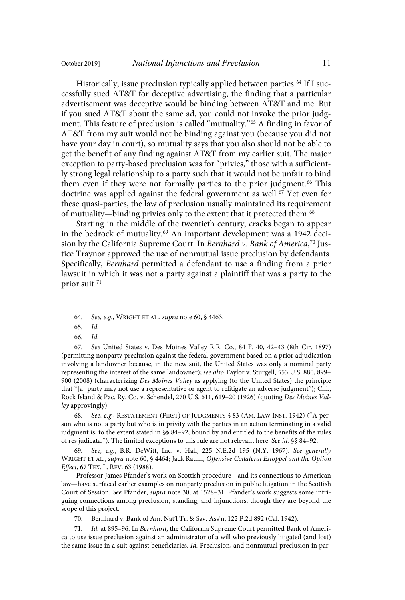Historically, issue preclusion typically applied between parties.<sup>64</sup> If I successfully sued AT&T for deceptive advertising, the finding that a particular advertisement was deceptive would be binding between AT&T and me. But if you sued AT&T about the same ad, you could not invoke the prior judgment. This feature of preclusion is called "mutuality." <sup>65</sup> A finding in favor of AT&T from my suit would not be binding against you (because you did not have your day in court), so mutuality says that you also should not be able to get the benefit of any finding against AT&T from my earlier suit. The major exception to party-based preclusion was for "privies," those with a sufficiently strong legal relationship to a party such that it would not be unfair to bind them even if they were not formally parties to the prior judgment.<sup>66</sup> This doctrine was applied against the federal government as well.<sup>67</sup> Yet even for these quasi-parties, the law of preclusion usually maintained its requirement of mutuality—binding privies only to the extent that it protected them.<sup>68</sup>

Starting in the middle of the twentieth century, cracks began to appear in the bedrock of mutuality.<sup>69</sup> An important development was a 1942 decision by the California Supreme Court. In *Bernhard v. Bank of America*,<sup>70</sup> Justice Traynor approved the use of nonmutual issue preclusion by defendants. Specifically, Bernhard permitted a defendant to use a finding from a prior lawsuit in which it was not a party against a plaintiff that was a party to the prior suit. 71

65. Id.

66. Id.

67 . See United States v. Des Moines Valley R.R. Co., 84 F. 40, 42–43 (8th Cir. 1897) (permitting nonparty preclusion against the federal government based on a prior adjudication involving a landowner because, in the new suit, the United States was only a nominal party representing the interest of the same landowner); see also Taylor v. Sturgell, 553 U.S. 880, 899– 900 (2008) (characterizing Des Moines Valley as applying (to the United States) the principle that "[a] party may not use a representative or agent to relitigate an adverse judgment"); Chi., Rock Island & Pac. Ry. Co. v. Schendel, 270 U.S. 611, 619–20 (1926) (quoting Des Moines Valley approvingly).

68. See, e.g., RESTATEMENT (FIRST) OF JUDGMENTS § 83 (AM. LAW INST. 1942) ("A person who is not a party but who is in privity with the parties in an action terminating in a valid judgment is, to the extent stated in §§ 84–92, bound by and entitled to the benefits of the rules of res judicata."). The limited exceptions to this rule are not relevant here. See id. §§ 84-92.

69. See, e.g., B.R. DeWitt, Inc. v. Hall, 225 N.E.2d 195 (N.Y. 1967). See generally WRIGHT ET AL., supra note 60, § 4464; Jack Ratliff, Offensive Collateral Estoppel and the Option Effect, 67 TEX. L. REV. 63 (1988).

Professor James Pfander's work on Scottish procedure—and its connections to American law—have surfaced earlier examples on nonparty preclusion in public litigation in the Scottish Court of Session. See Pfander, supra note 30, at 1528–31. Pfander's work suggests some intriguing connections among preclusion, standing, and injunctions, though they are beyond the scope of this project.

70. Bernhard v. Bank of Am. Nat'l Tr. & Sav. Ass'n, 122 P.2d 892 (Cal. 1942).

71. Id. at 895-96. In Bernhard, the California Supreme Court permitted Bank of America to use issue preclusion against an administrator of a will who previously litigated (and lost) the same issue in a suit against beneficiaries. Id. Preclusion, and nonmutual preclusion in par-

<sup>64.</sup> See, e.g., WRIGHT ET AL., supra note 60, § 4463.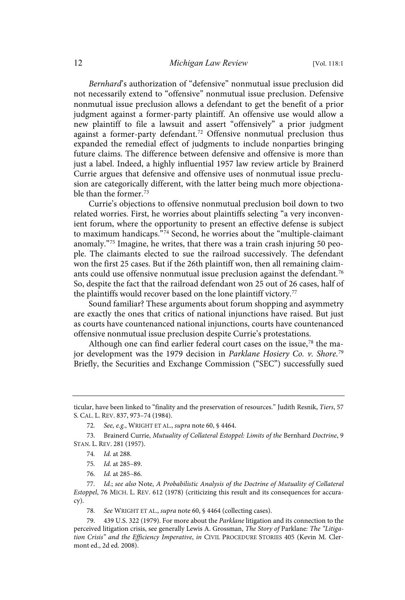Bernhard's authorization of "defensive" nonmutual issue preclusion did not necessarily extend to "offensive" nonmutual issue preclusion. Defensive nonmutual issue preclusion allows a defendant to get the benefit of a prior judgment against a former-party plaintiff. An offensive use would allow a new plaintiff to file a lawsuit and assert "offensively" a prior judgment against a former-party defendant. <sup>72</sup> Offensive nonmutual preclusion thus expanded the remedial effect of judgments to include nonparties bringing future claims. The difference between defensive and offensive is more than just a label. Indeed, a highly influential 1957 law review article by Brainerd Currie argues that defensive and offensive uses of nonmutual issue preclusion are categorically different, with the latter being much more objectionable than the former. $73$ 

Currie's objections to offensive nonmutual preclusion boil down to two related worries. First, he worries about plaintiffs selecting "a very inconvenient forum, where the opportunity to present an effective defense is subject to maximum handicaps."<sup>74</sup> Second, he worries about the "multiple-claimant anomaly." <sup>75</sup> Imagine, he writes, that there was a train crash injuring 50 people. The claimants elected to sue the railroad successively. The defendant won the first 25 cases. But if the 26th plaintiff won, then all remaining claimants could use offensive nonmutual issue preclusion against the defendant.<sup>76</sup> So, despite the fact that the railroad defendant won 25 out of 26 cases, half of the plaintiffs would recover based on the lone plaintiff victory.<sup>77</sup>

Sound familiar? These arguments about forum shopping and asymmetry are exactly the ones that critics of national injunctions have raised. But just as courts have countenanced national injunctions, courts have countenanced offensive nonmutual issue preclusion despite Currie's protestations.

Although one can find earlier federal court cases on the issue,<sup>78</sup> the major development was the 1979 decision in Parklane Hosiery Co. v. Shore.<sup>7s</sup> Briefly, the Securities and Exchange Commission ("SEC") successfully sued

78. See WRIGHT ET AL., supra note 60, § 4464 (collecting cases).

79. 439 U.S. 322 (1979). For more about the Parklane litigation and its connection to the perceived litigation crisis, see generally Lewis A. Grossman, The Story of Parklane: The "Litigation Crisis" and the Efficiency Imperative, in CIVIL PROCEDURE STORIES 405 (Kevin M. Clermont ed., 2d ed. 2008).

ticular, have been linked to "finality and the preservation of resources." Judith Resnik, Tiers, 57 S. CAL. L. REV. 837, 973–74 (1984).

<sup>72.</sup> See, e.g., WRIGHT ET AL., supra note 60, § 4464.

<sup>73.</sup> Brainerd Currie, Mutuality of Collateral Estoppel: Limits of the Bernhard Doctrine, 9 STAN. L. REV. 281 (1957).

<sup>74.</sup> *Id.* at 288.

<sup>75.</sup> *Id.* at 285-89.

<sup>76.</sup> Id. at 285-86.

<sup>77.</sup> Id.; see also Note, A Probabilistic Analysis of the Doctrine of Mutuality of Collateral Estoppel, 76 MICH. L. REV. 612 (1978) (criticizing this result and its consequences for accuracy).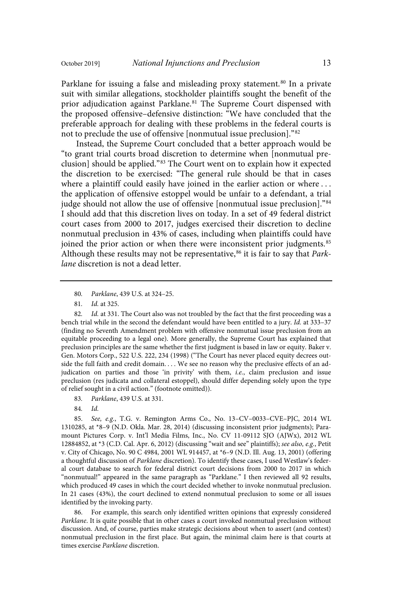Parklane for issuing a false and misleading proxy statement.<sup>80</sup> In a private suit with similar allegations, stockholder plaintiffs sought the benefit of the prior adjudication against Parklane.<sup>81</sup> The Supreme Court dispensed with the proposed offensive–defensive distinction: "We have concluded that the preferable approach for dealing with these problems in the federal courts is not to preclude the use of offensive [nonmutual issue preclusion]."<sup>82</sup>

Instead, the Supreme Court concluded that a better approach would be "to grant trial courts broad discretion to determine when [nonmutual preclusion] should be applied."<sup>83</sup> The Court went on to explain how it expected the discretion to be exercised: "The general rule should be that in cases where a plaintiff could easily have joined in the earlier action or where ... the application of offensive estoppel would be unfair to a defendant, a trial judge should not allow the use of offensive [nonmutual issue preclusion]." 84 I should add that this discretion lives on today. In a set of 49 federal district court cases from 2000 to 2017, judges exercised their discretion to decline nonmutual preclusion in 43% of cases, including when plaintiffs could have joined the prior action or when there were inconsistent prior judgments.<sup>85</sup> Although these results may not be representative,<sup>86</sup> it is fair to say that Parklane discretion is not a dead letter.

80. Parklane, 439 U.S. at 324-25.

81. *Id.* at 325.

82. Id. at 331. The Court also was not troubled by the fact that the first proceeding was a bench trial while in the second the defendant would have been entitled to a jury. Id. at 333-37 (finding no Seventh Amendment problem with offensive nonmutual issue preclusion from an equitable proceeding to a legal one). More generally, the Supreme Court has explained that preclusion principles are the same whether the first judgment is based in law or equity. Baker v. Gen. Motors Corp., 522 U.S. 222, 234 (1998) ("The Court has never placed equity decrees outside the full faith and credit domain. . . . We see no reason why the preclusive effects of an adjudication on parties and those 'in privity' with them, i.e., claim preclusion and issue preclusion (res judicata and collateral estoppel), should differ depending solely upon the type of relief sought in a civil action." (footnote omitted)).

83. Parklane, 439 U.S. at 331.

84. Id.

85. See, e.g., T.G. v. Remington Arms Co., No. 13-CV-0033-CVE-PJC, 2014 WL 1310285, at \*8–9 (N.D. Okla. Mar. 28, 2014) (discussing inconsistent prior judgments); Paramount Pictures Corp. v. Int'l Media Films, Inc., No. CV 11-09112 SJO (AJWx), 2012 WL 12884852, at \*3 (C.D. Cal. Apr. 6, 2012) (discussing "wait and see" plaintiffs); see also, e.g., Petit v. City of Chicago, No. 90 C 4984, 2001 WL 914457, at \*6–9 (N.D. Ill. Aug. 13, 2001) (offering a thoughtful discussion of Parklane discretion). To identify these cases, I used Westlaw's federal court database to search for federal district court decisions from 2000 to 2017 in which "nonmutual!" appeared in the same paragraph as "Parklane." I then reviewed all 92 results, which produced 49 cases in which the court decided whether to invoke nonmutual preclusion. In 21 cases (43%), the court declined to extend nonmutual preclusion to some or all issues identified by the invoking party.

86. For example, this search only identified written opinions that expressly considered Parklane. It is quite possible that in other cases a court invoked nonmutual preclusion without discussion. And, of course, parties make strategic decisions about when to assert (and contest) nonmutual preclusion in the first place. But again, the minimal claim here is that courts at times exercise Parklane discretion.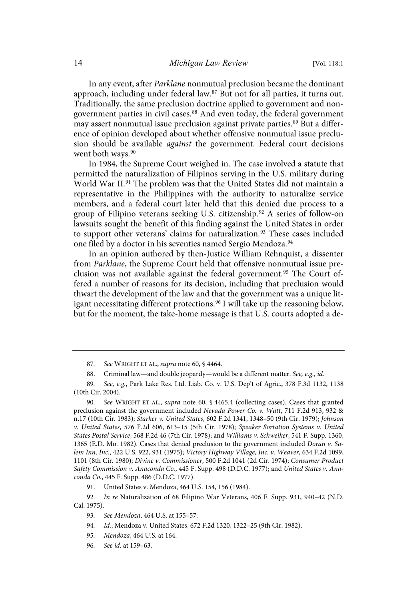In any event, after Parklane nonmutual preclusion became the dominant approach, including under federal law.<sup>87</sup> But not for all parties, it turns out. Traditionally, the same preclusion doctrine applied to government and nongovernment parties in civil cases.<sup>88</sup> And even today, the federal government may assert nonmutual issue preclusion against private parties.<sup>89</sup> But a difference of opinion developed about whether offensive nonmutual issue preclusion should be available against the government. Federal court decisions went both ways.<sup>90</sup>

In 1984, the Supreme Court weighed in. The case involved a statute that permitted the naturalization of Filipinos serving in the U.S. military during World War II.<sup>91</sup> The problem was that the United States did not maintain a representative in the Philippines with the authority to naturalize service members, and a federal court later held that this denied due process to a group of Filipino veterans seeking U.S. citizenship.<sup>92</sup> A series of follow-on lawsuits sought the benefit of this finding against the United States in order to support other veterans' claims for naturalization.<sup>93</sup> These cases included one filed by a doctor in his seventies named Sergio Mendoza.<sup>94</sup>

In an opinion authored by then-Justice William Rehnquist, a dissenter from Parklane, the Supreme Court held that offensive nonmutual issue preclusion was not available against the federal government. <sup>95</sup> The Court offered a number of reasons for its decision, including that preclusion would thwart the development of the law and that the government was a unique litigant necessitating different protections.<sup>96</sup> I will take up the reasoning below, but for the moment, the take-home message is that U.S. courts adopted a de-

91. United States v. Mendoza, 464 U.S. 154, 156 (1984).

<sup>87.</sup> See WRIGHT ET AL., supra note 60, § 4464.

<sup>88.</sup> Criminal law—and double jeopardy—would be a different matter. See, e.g., id.

<sup>89.</sup> See, e.g., Park Lake Res. Ltd. Liab. Co. v. U.S. Dep't of Agric., 378 F.3d 1132, 1138 (10th Cir. 2004).

<sup>90.</sup> See WRIGHT ET AL., supra note 60, § 4465.4 (collecting cases). Cases that granted preclusion against the government included Nevada Power Co . v . Watt, 711 F.2d 913, 932 & n.17 (10th Cir. 1983); Starker v . United States, 602 F.2d 1341, 1348–50 (9th Cir. 1979); Johnson v. United States, 576 F.2d 606, 613-15 (5th Cir. 1978); Speaker Sortation Systems v. United States Postal Service, 568 F.2d 46 (7th Cir. 1978); and Williams v. Schweiker, 541 F. Supp. 1360, 1365 (E.D. Mo. 1982). Cases that denied preclusion to the government included Doran v. Salem Inn, Inc., 422 U.S. 922, 931 (1975); Victory Highway Village, Inc. v. Weaver, 634 F.2d 1099, 1101 (8th Cir. 1980); Divine v . Commissioner, 500 F.2d 1041 (2d Cir. 1974); Consumer Product Safety Commission v. Anaconda Co., 445 F. Supp. 498 (D.D.C. 1977); and United States v. Anaconda Co., 445 F. Supp. 486 (D.D.C. 1977).

<sup>92.</sup> In re Naturalization of 68 Filipino War Veterans, 406 F. Supp. 931, 940–42 (N.D. Cal. 1975).

<sup>93.</sup> See Mendoza, 464 U.S. at 155-57.

<sup>94.</sup> Id.; Mendoza v. United States, 672 F.2d 1320, 1322-25 (9th Cir. 1982).

<sup>95.</sup> Mendoza, 464 U.S. at 164.

<sup>96.</sup> See id. at 159-63.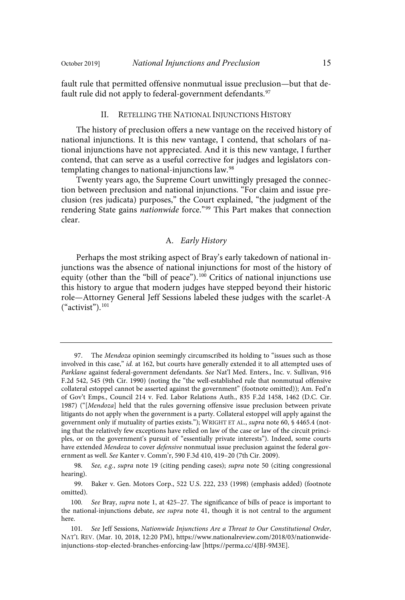fault rule that permitted offensive nonmutual issue preclusion—but that default rule did not apply to federal-government defendants.<sup>97</sup>

#### II. RETELLING THE NATIONAL INJUNCTIONS HISTORY

The history of preclusion offers a new vantage on the received history of national injunctions. It is this new vantage, I contend, that scholars of national injunctions have not appreciated. And it is this new vantage, I further contend, that can serve as a useful corrective for judges and legislators contemplating changes to national-injunctions law.<sup>98</sup>

Twenty years ago, the Supreme Court unwittingly presaged the connection between preclusion and national injunctions. "For claim and issue preclusion (res judicata) purposes," the Court explained, "the judgment of the rendering State gains nationwide force."<sup>99</sup> This Part makes that connection clear.

#### A. Early History

Perhaps the most striking aspect of Bray's early takedown of national injunctions was the absence of national injunctions for most of the history of equity (other than the "bill of peace"). <sup>100</sup> Critics of national injunctions use this history to argue that modern judges have stepped beyond their historic role—Attorney General Jeff Sessions labeled these judges with the scarlet-A ("activist"). 101

<sup>97.</sup> The Mendoza opinion seemingly circumscribed its holding to "issues such as those involved in this case," id. at 162, but courts have generally extended it to all attempted uses of Parklane against federal-government defendants. See Nat'l Med. Enters., Inc. v. Sullivan, 916 F.2d 542, 545 (9th Cir. 1990) (noting the "the well-established rule that nonmutual offensive collateral estoppel cannot be asserted against the government" (footnote omitted)); Am. Fed'n of Gov't Emps., Council 214 v. Fed. Labor Relations Auth., 835 F.2d 1458, 1462 (D.C. Cir. 1987) ("[Mendoza] held that the rules governing offensive issue preclusion between private litigants do not apply when the government is a party. Collateral estoppel will apply against the government only if mutuality of parties exists."); WRIGHT ET AL., supra note 60, § 4465.4 (noting that the relatively few exceptions have relied on law of the case or law of the circuit principles, or on the government's pursuit of "essentially private interests"). Indeed, some courts have extended Mendoza to cover defensive nonmutual issue preclusion against the federal government as well. See Kanter v. Comm'r, 590 F.3d 410, 419–20 (7th Cir. 2009).

<sup>98.</sup> See, e.g., supra note 19 (citing pending cases); supra note 50 (citing congressional hearing).

<sup>99.</sup> Baker v. Gen. Motors Corp., 522 U.S. 222, 233 (1998) (emphasis added) (footnote omitted).

<sup>100.</sup> See Bray, supra note 1, at 425-27. The significance of bills of peace is important to the national-injunctions debate, see supra note 41, though it is not central to the argument here.

<sup>101.</sup> See Jeff Sessions, Nationwide Injunctions Are a Threat to Our Constitutional Order, NAT'L REV. (Mar. 10, 2018, 12:20 PM), https://www.nationalreview.com/2018/03/nationwideinjunctions-stop-elected-branches-enforcing-law [https://perma.cc/4JBJ-9M3E].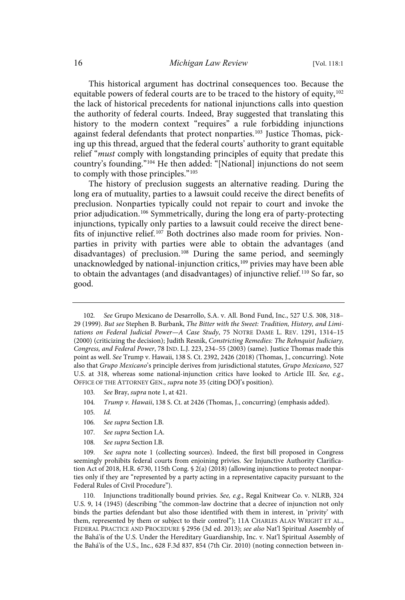This historical argument has doctrinal consequences too. Because the equitable powers of federal courts are to be traced to the history of equity, $102$ the lack of historical precedents for national injunctions calls into question the authority of federal courts. Indeed, Bray suggested that translating this history to the modern context "requires" a rule forbidding injunctions against federal defendants that protect nonparties.<sup>103</sup> Justice Thomas, picking up this thread, argued that the federal courts' authority to grant equitable relief "must comply with longstanding principles of equity that predate this country's founding."<sup>104</sup> He then added: "[National] injunctions do not seem to comply with those principles."<sup>105</sup>

The history of preclusion suggests an alternative reading. During the long era of mutuality, parties to a lawsuit could receive the direct benefits of preclusion. Nonparties typically could not repair to court and invoke the prior adjudication.<sup>106</sup> Symmetrically, during the long era of party-protecting injunctions, typically only parties to a lawsuit could receive the direct benefits of injunctive relief.<sup>107</sup> Both doctrines also made room for privies. Nonparties in privity with parties were able to obtain the advantages (and disadvantages) of preclusion. <sup>108</sup> During the same period, and seemingly unacknowledged by national-injunction critics,<sup>109</sup> privies may have been able to obtain the advantages (and disadvantages) of injunctive relief.<sup>110</sup> So far, so good.

- 103. See Bray, supra note 1, at 421.
- 104. Trump v. Hawaii, 138 S. Ct. at 2426 (Thomas, J., concurring) (emphasis added).
- 105.  $Id$
- 106. See supra Section I.B.
- 107. See supra Section I.A.
- 108. See supra Section I.B.

109. See supra note 1 (collecting sources). Indeed, the first bill proposed in Congress seemingly prohibits federal courts from enjoining privies. See Injunctive Authority Clarification Act of 2018, H.R. 6730, 115th Cong. § 2(a) (2018) (allowing injunctions to protect nonparties only if they are "represented by a party acting in a representative capacity pursuant to the Federal Rules of Civil Procedure").

110. Injunctions traditionally bound privies. See, e.g., Regal Knitwear Co. v. NLRB, 324 U.S. 9, 14 (1945) (describing "the common-law doctrine that a decree of injunction not only binds the parties defendant but also those identified with them in interest, in 'privity' with them, represented by them or subject to their control"); 11A CHARLES ALAN WRIGHT ET AL., FEDERAL PRACTICE AND PROCEDURE § 2956 (3d ed. 2013); see also Nat'l Spiritual Assembly of the Bahá'ís of the U.S. Under the Hereditary Guardianship, Inc. v. Nat'l Spiritual Assembly of the Bahá'ís of the U.S., Inc., 628 F.3d 837, 854 (7th Cir. 2010) (noting connection between in-

<sup>102.</sup> See Grupo Mexicano de Desarrollo, S.A. v. All. Bond Fund, Inc., 527 U.S. 308, 318-29 (1999). But see Stephen B. Burbank, The Bitter with the Sweet: Tradition, History, and Limitations on Federal Judicial Power—A Case Study, 75 NOTRE DAME L. REV. 1291, 1314–15 (2000) (criticizing the decision); Judith Resnik, Constricting Remedies: The Rehnquist Judiciary, Congress, and Federal Power, 78 IND. L.J. 223, 234–55 (2003) (same). Justice Thomas made this point as well. See Trump v. Hawaii, 138 S. Ct. 2392, 2426 (2018) (Thomas, J., concurring). Note also that Grupo Mexicano's principle derives from jurisdictional statutes, Grupo Mexicano, 527 U.S. at 318, whereas some national-injunction critics have looked to Article III. See, e.g., OFFICE OF THE ATTORNEY GEN., supra note 35 (citing DOJ's position).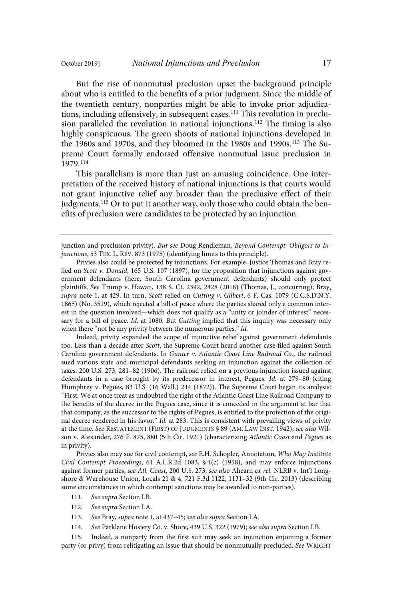But the rise of nonmutual preclusion upset the background principle about who is entitled to the benefits of a prior judgment. Since the middle of the twentieth century, nonparties might be able to invoke prior adjudications, including offensively, in subsequent cases.<sup>111</sup> This revolution in preclusion paralleled the revolution in national injunctions. <sup>112</sup> The timing is also highly conspicuous. The green shoots of national injunctions developed in the 1960s and 1970s, and they bloomed in the 1980s and 1990s.<sup>113</sup> The Supreme Court formally endorsed offensive nonmutual issue preclusion in 1979.114

This parallelism is more than just an amusing coincidence. One interpretation of the received history of national injunctions is that courts would not grant injunctive relief any broader than the preclusive effect of their judgments.<sup>115</sup> Or to put it another way, only those who could obtain the benefits of preclusion were candidates to be protected by an injunction.

Indeed, privity expanded the scope of injunctive relief against government defendants too. Less than a decade after Scott, the Supreme Court heard another case filed against South Carolina government defendants. In Gunter v. Atlantic Coast Line Railroad Co., the railroad sued various state and municipal defendants seeking an injunction against the collection of taxes. 200 U.S. 273, 281–82 (1906). The railroad relied on a previous injunction issued against defendants in a case brought by its predecessor in interest, Pegues. Id. at 279-80 (citing Humphrey v. Pegues, 83 U.S. (16 Wall.) 244 (1872)). The Supreme Court began its analysis: "First. We at once treat as undoubted the right of the Atlantic Coast Line Railroad Company to the benefits of the decree in the Pegues case, since it is conceded in the argument at bar that that company, as the successor to the rights of Pegues, is entitled to the protection of the original decree rendered in his favor." Id. at 283. This is consistent with prevailing views of privity at the time. See RESTATEMENT (FIRST) OF JUDGMENTS § 89 (AM. LAW INST. 1942); see also Wilson v. Alexander, 276 F. 875, 880 (5th Cir. 1921) (characterizing Atlantic Coast and Pegues as in privity).

Privies also may sue for civil contempt, see E.H. Schopler, Annotation, Who May Institute Civil Contempt Proceedings, 61 A.L.R.2d 1083, § 4(c) (1958), and may enforce injunctions against former parties, see Atl. Coast, 200 U.S. 273; see also Ahearn ex rel. NLRB v. Int'l Longshore & Warehouse Union, Locals 21 & 4, 721 F.3d 1122, 1131–32 (9th Cir. 2013) (describing some circumstances in which contempt sanctions may be awarded to non-parties).

- 111. See supra Section I.B.
- 112. See supra Section I.A.
- 113. See Bray, supra note 1, at 437-45; see also supra Section I.A.
- 114. See Parklane Hosiery Co. v. Shore, 439 U.S. 322 (1979); see also supra Section I.B.

115. Indeed, a nonparty from the first suit may seek an injunction enjoining a former party (or privy) from relitigating an issue that should be nonmutually precluded. See WRIGHT

junction and preclusion privity). But see Doug Rendleman, Beyond Contempt: Obligors to Injunctions, 53 TEX. L. REV. 873 (1975) (identifying limits to this principle).

Privies also could be protected by injunctions. For example, Justice Thomas and Bray relied on Scott v. Donald, 165 U.S. 107 (1897), for the proposition that injunctions against government defendants (here, South Carolina government defendants) should only protect plaintiffs. See Trump v. Hawaii, 138 S. Ct. 2392, 2428 (2018) (Thomas, J., concurring); Bray, supra note 1, at 429. In turn, Scott relied on Cutting v. Gilbert, 6 F. Cas. 1079 (C.C.S.D.N.Y. 1865) (No. 3519), which rejected a bill of peace where the parties shared only a common interest in the question involved—which does not qualify as a "unity or joinder of interest" necessary for a bill of peace. Id. at 1080. But Cutting implied that this inquiry was necessary only when there "not be any privity between the numerous parties." Id.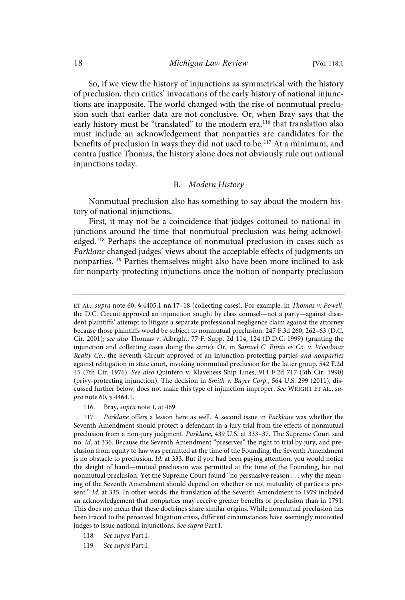So, if we view the history of injunctions as symmetrical with the history of preclusion, then critics' invocations of the early history of national injunctions are inapposite. The world changed with the rise of nonmutual preclusion such that earlier data are not conclusive. Or, when Bray says that the early history must be "translated" to the modern era,<sup>116</sup> that translation also must include an acknowledgement that nonparties are candidates for the benefits of preclusion in ways they did not used to be. <sup>117</sup> At a minimum, and contra Justice Thomas, the history alone does not obviously rule out national injunctions today.

#### B. Modern History

Nonmutual preclusion also has something to say about the modern history of national injunctions.

First, it may not be a coincidence that judges cottoned to national injunctions around the time that nonmutual preclusion was being acknowledged.<sup>118</sup> Perhaps the acceptance of nonmutual preclusion in cases such as Parklane changed judges' views about the acceptable effects of judgments on nonparties.<sup>119</sup> Parties themselves might also have been more inclined to ask for nonparty-protecting injunctions once the notion of nonparty preclusion

- 118. See supra Part I.
- 119. See supra Part I.

ET AL., supra note 60, § 4405.1 nn.17-18 (collecting cases). For example, in Thomas v. Powell, the D.C. Circuit approved an injunction sought by class counsel—not a party—against dissident plaintiffs' attempt to litigate a separate professional negligence claim against the attorney because those plaintiffs would be subject to nonmutual preclusion. 247 F.3d 260, 262–63 (D.C. Cir. 2001); see also Thomas v. Albright, 77 F. Supp. 2d 114, 124 (D.D.C. 1999) (granting the injunction and collecting cases doing the same). Or, in Samuel C. Ennis  $\&$  Co. v. Woodmar Realty Co., the Seventh Circuit approved of an injunction protecting parties and nonparties against relitigation in state court, invoking nonmutual preclusion for the latter group. 542 F.2d 45 (7th Cir. 1976). See also Quintero v. Klaveness Ship Lines, 914 F.2d 717 (5th Cir. 1990) (privy-protecting injunction). The decision in Smith v. Bayer Corp., 564 U.S. 299 (2011), discussed further below, does not make this type of injunction improper. See WRIGHT ET AL., supra note 60, § 4464.1.

<sup>116.</sup> Bray, supra note 1, at 469.

<sup>117.</sup> Parklane offers a lesson here as well. A second issue in Parklane was whether the Seventh Amendment should protect a defendant in a jury trial from the effects of nonmutual preclusion from a non-jury judgment. Parklane, 439 U.S. at 333–37. The Supreme Court said no. Id. at 336. Because the Seventh Amendment "preserves" the right to trial by jury, and preclusion from equity to law was permitted at the time of the Founding, the Seventh Amendment is no obstacle to preclusion. Id. at 333. But if you had been paying attention, you would notice the sleight of hand—mutual preclusion was permitted at the time of the Founding, but not nonmutual preclusion. Yet the Supreme Court found "no persuasive reason . . . why the meaning of the Seventh Amendment should depend on whether or not mutuality of parties is present." Id. at 335. In other words, the translation of the Seventh Amendment to 1979 included an acknowledgement that nonparties may receive greater benefits of preclusion than in 1791. This does not mean that these doctrines share similar origins. While nonmutual preclusion has been traced to the perceived litigation crisis, different circumstances have seemingly motivated judges to issue national injunctions. See supra Part I.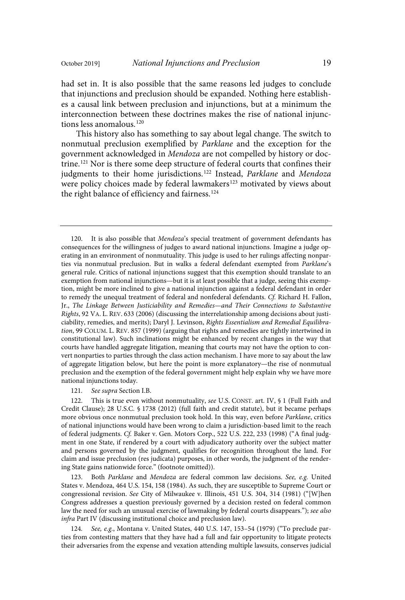had set in. It is also possible that the same reasons led judges to conclude that injunctions and preclusion should be expanded. Nothing here establishes a causal link between preclusion and injunctions, but at a minimum the interconnection between these doctrines makes the rise of national injunctions less anomalous.<sup>120</sup>

This history also has something to say about legal change. The switch to nonmutual preclusion exemplified by Parklane and the exception for the government acknowledged in Mendoza are not compelled by history or doctrine. <sup>121</sup> Nor is there some deep structure of federal courts that confines their judgments to their home jurisdictions.<sup>122</sup> Instead, Parklane and Mendoza were policy choices made by federal lawmakers<sup>123</sup> motivated by views about the right balance of efficiency and fairness.<sup>124</sup>

121. See supra Section I.B.

122. This is true even without nonmutuality, see U.S. CONST. art. IV, § 1 (Full Faith and Credit Clause); 28 U.S.C. § 1738 (2012) (full faith and credit statute), but it became perhaps more obvious once nonmutual preclusion took hold. In this way, even before Parklane, critics of national injunctions would have been wrong to claim a jurisdiction-based limit to the reach of federal judgments. Cf. Baker v. Gen. Motors Corp., 522 U.S. 222, 233 (1998) ("A final judgment in one State, if rendered by a court with adjudicatory authority over the subject matter and persons governed by the judgment, qualifies for recognition throughout the land. For claim and issue preclusion (res judicata) purposes, in other words, the judgment of the rendering State gains nationwide force." (footnote omitted)).

123. Both Parklane and Mendoza are federal common law decisions. See, e.g. United States v. Mendoza, 464 U.S. 154, 158 (1984). As such, they are susceptible to Supreme Court or congressional revision. See City of Milwaukee v. Illinois, 451 U.S. 304, 314 (1981) ("[W]hen Congress addresses a question previously governed by a decision rested on federal common law the need for such an unusual exercise of lawmaking by federal courts disappears."); see also infra Part IV (discussing institutional choice and preclusion law).

124. See, e.g., Montana v. United States, 440 U.S. 147, 153-54 (1979) ("To preclude parties from contesting matters that they have had a full and fair opportunity to litigate protects their adversaries from the expense and vexation attending multiple lawsuits, conserves judicial

<sup>120.</sup> It is also possible that Mendoza's special treatment of government defendants has consequences for the willingness of judges to award national injunctions. Imagine a judge operating in an environment of nonmutuality. This judge is used to her rulings affecting nonparties via nonmutual preclusion. But in walks a federal defendant exempted from Parklane's general rule. Critics of national injunctions suggest that this exemption should translate to an exemption from national injunctions—but it is at least possible that a judge, seeing this exemption, might be more inclined to give a national injunction against a federal defendant in order to remedy the unequal treatment of federal and nonfederal defendants. Cf. Richard H. Fallon, Jr., The Linkage Between Justiciability and Remedies—and Their Connections to Substantive Rights, 92 VA. L. REV. 633 (2006) (discussing the interrelationship among decisions about justiciability, remedies, and merits); Daryl J. Levinson, Rights Essentialism and Remedial Equilibration, 99 COLUM. L. REV. 857 (1999) (arguing that rights and remedies are tightly intertwined in constitutional law). Such inclinations might be enhanced by recent changes in the way that courts have handled aggregate litigation, meaning that courts may not have the option to convert nonparties to parties through the class action mechanism. I have more to say about the law of aggregate litigation below, but here the point is more explanatory—the rise of nonmutual preclusion and the exemption of the federal government might help explain why we have more national injunctions today.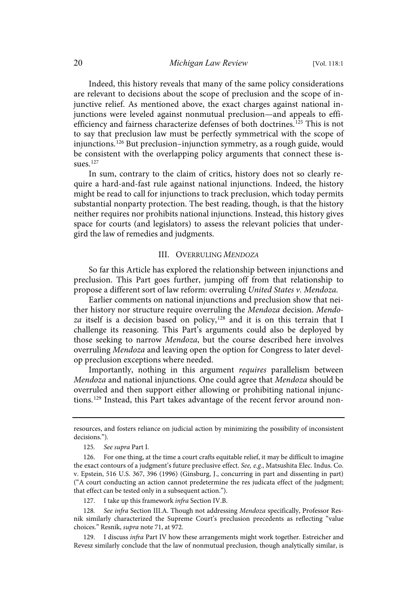Indeed, this history reveals that many of the same policy considerations are relevant to decisions about the scope of preclusion and the scope of injunctive relief. As mentioned above, the exact charges against national injunctions were leveled against nonmutual preclusion—and appeals to effiefficiency and fairness characterize defenses of both doctrines.<sup>125</sup> This is not to say that preclusion law must be perfectly symmetrical with the scope of injunctions.<sup>126</sup> But preclusion–injunction symmetry, as a rough guide, would be consistent with the overlapping policy arguments that connect these issues.<sup>127</sup>

In sum, contrary to the claim of critics, history does not so clearly require a hard-and-fast rule against national injunctions. Indeed, the history might be read to call for injunctions to track preclusion, which today permits substantial nonparty protection. The best reading, though, is that the history neither requires nor prohibits national injunctions. Instead, this history gives space for courts (and legislators) to assess the relevant policies that undergird the law of remedies and judgments.

#### III. OVERRULING MENDOZA

So far this Article has explored the relationship between injunctions and preclusion. This Part goes further, jumping off from that relationship to propose a different sort of law reform: overruling United States v. Mendoza.

Earlier comments on national injunctions and preclusion show that neither history nor structure require overruling the Mendoza decision. Mendoza itself is a decision based on policy,<sup>128</sup> and it is on this terrain that I challenge its reasoning. This Part's arguments could also be deployed by those seeking to narrow Mendoza, but the course described here involves overruling Mendoza and leaving open the option for Congress to later develop preclusion exceptions where needed.

Importantly, nothing in this argument requires parallelism between Mendoza and national injunctions. One could agree that Mendoza should be overruled and then support either allowing or prohibiting national injunctions.<sup>129</sup> Instead, this Part takes advantage of the recent fervor around non-

resources, and fosters reliance on judicial action by minimizing the possibility of inconsistent decisions.").

<sup>125.</sup> See supra Part I.

<sup>126.</sup> For one thing, at the time a court crafts equitable relief, it may be difficult to imagine the exact contours of a judgment's future preclusive effect. See, e.g., Matsushita Elec. Indus. Co. v. Epstein, 516 U.S. 367, 396 (1996) (Ginsburg, J., concurring in part and dissenting in part) ("A court conducting an action cannot predetermine the res judicata effect of the judgment; that effect can be tested only in a subsequent action.").

<sup>127.</sup> I take up this framework infra Section IV.B.

<sup>128.</sup> See infra Section III.A. Though not addressing Mendoza specifically, Professor Resnik similarly characterized the Supreme Court's preclusion precedents as reflecting "value choices." Resnik, supra note 71, at 972.

<sup>129.</sup> I discuss infra Part IV how these arrangements might work together. Estreicher and Revesz similarly conclude that the law of nonmutual preclusion, though analytically similar, is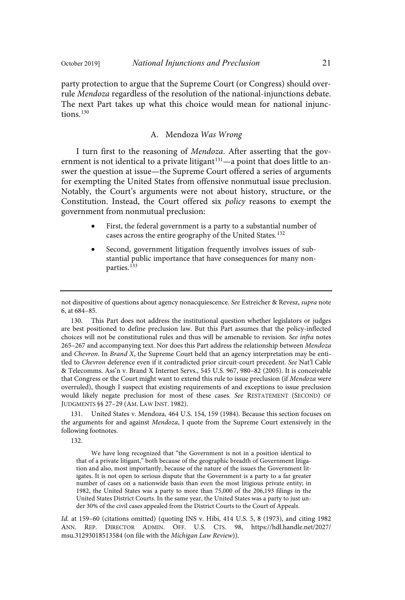party protection to argue that the Supreme Court (or Congress) should overrule Mendoza regardless of the resolution of the national-injunctions debate. The next Part takes up what this choice would mean for national injunctions. $130$ 

#### A. Mendoza Was Wrong

I turn first to the reasoning of Mendoza. After asserting that the government is not identical to a private litigant<sup>131</sup>—a point that does little to answer the question at issue—the Supreme Court offered a series of arguments for exempting the United States from offensive nonmutual issue preclusion. Notably, the Court's arguments were not about history, structure, or the Constitution. Instead, the Court offered six policy reasons to exempt the government from nonmutual preclusion:

- First, the federal government is a party to a substantial number of cases across the entire geography of the United States.<sup>132</sup>
- Second, government litigation frequently involves issues of substantial public importance that have consequences for many nonparties. 133

United States v. Mendoza, 464 U.S. 154, 159 (1984). Because this section focuses on the arguments for and against Mendoza, I quote from the Supreme Court extensively in the following footnotes.

132.

We have long recognized that "the Government is not in a position identical to that of a private litigant," both because of the geographic breadth of Government litigation and also, most importantly, because of the nature of the issues the Government litigates. It is not open to serious dispute that the Government is a party to a far greater number of cases on a nationwide basis than even the most litigious private entity; in 1982, the United States was a party to more than 75,000 of the 206,193 filings in the United States District Courts. In the same year, the United States was a party to just under 30% of the civil cases appealed from the District Courts to the Court of Appeals.

Id. at 159-60 (citations omitted) (quoting INS v. Hibi, 414 U.S. 5, 8 (1973), and citing 1982 ANN. REP. DIRECTOR ADMIN. OFF. U.S. CTS. 98, https://hdl.handle.net/2027/ msu.31293018513584 (on file with the Michigan Law Review)).

not dispositive of questions about agency nonacquiescence. See Estreicher & Revesz, supra note 6, at 684–85.

<sup>130.</sup> This Part does not address the institutional question whether legislators or judges are best positioned to define preclusion law. But this Part assumes that the policy-inflected choices will not be constitutional rules and thus will be amenable to revision. See infra notes 265–267 and accompanying text. Nor does this Part address the relationship between Mendoza and Chevron. In Brand X, the Supreme Court held that an agency interpretation may be entitled to Chevron deference even if it contradicted prior circuit-court precedent. See Nat'l Cable & Telecomms. Ass'n v. Brand X Internet Servs., 545 U.S. 967, 980–82 (2005). It is conceivable that Congress or the Court might want to extend this rule to issue preclusion (if Mendoza were overruled), though I suspect that existing requirements of and exceptions to issue preclusion would likely negate preclusion for most of these cases. See RESTATEMENT (SECOND) OF JUDGMENTS §§ 27–29 (AM. LAW INST. 1982).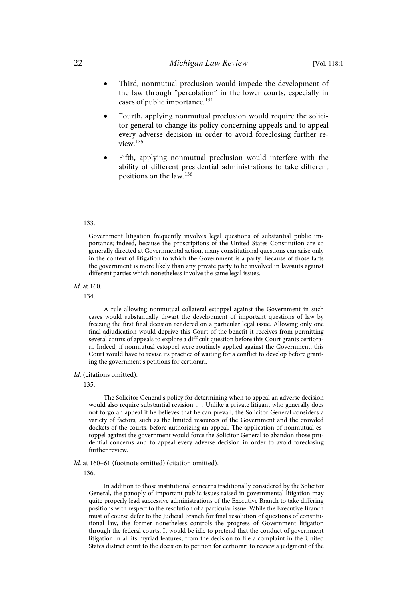- Third, nonmutual preclusion would impede the development of the law through "percolation" in the lower courts, especially in cases of public importance.<sup>134</sup>
- Fourth, applying nonmutual preclusion would require the solicitor general to change its policy concerning appeals and to appeal every adverse decision in order to avoid foreclosing further review. 135
- Fifth, applying nonmutual preclusion would interfere with the ability of different presidential administrations to take different positions on the law.<sup>136</sup>

#### 133.

Government litigation frequently involves legal questions of substantial public importance; indeed, because the proscriptions of the United States Constitution are so generally directed at Governmental action, many constitutional questions can arise only in the context of litigation to which the Government is a party. Because of those facts the government is more likely than any private party to be involved in lawsuits against different parties which nonetheless involve the same legal issues.

#### Id. at 160.

134.

A rule allowing nonmutual collateral estoppel against the Government in such cases would substantially thwart the development of important questions of law by freezing the first final decision rendered on a particular legal issue. Allowing only one final adjudication would deprive this Court of the benefit it receives from permitting several courts of appeals to explore a difficult question before this Court grants certiorari. Indeed, if nonmutual estoppel were routinely applied against the Government, this Court would have to revise its practice of waiting for a conflict to develop before granting the government's petitions for certiorari.

#### Id. (citations omitted).

135.

The Solicitor General's policy for determining when to appeal an adverse decision would also require substantial revision. . . . Unlike a private litigant who generally does not forgo an appeal if he believes that he can prevail, the Solicitor General considers a variety of factors, such as the limited resources of the Government and the crowded dockets of the courts, before authorizing an appeal. The application of nonmutual estoppel against the government would force the Solicitor General to abandon those prudential concerns and to appeal every adverse decision in order to avoid foreclosing further review.

Id. at 160–61 (footnote omitted) (citation omitted).

136.

In addition to those institutional concerns traditionally considered by the Solicitor General, the panoply of important public issues raised in governmental litigation may quite properly lead successive administrations of the Executive Branch to take differing positions with respect to the resolution of a particular issue. While the Executive Branch must of course defer to the Judicial Branch for final resolution of questions of constitutional law, the former nonetheless controls the progress of Government litigation through the federal courts. It would be idle to pretend that the conduct of government litigation in all its myriad features, from the decision to file a complaint in the United States district court to the decision to petition for certiorari to review a judgment of the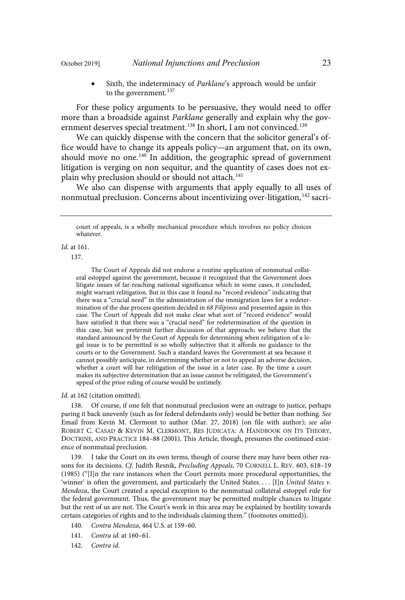Sixth, the indeterminacy of Parklane's approach would be unfair to the government.<sup>137</sup>

For these policy arguments to be persuasive, they would need to offer more than a broadside against Parklane generally and explain why the government deserves special treatment.<sup>138</sup> In short, I am not convinced.<sup>139</sup>

We can quickly dispense with the concern that the solicitor general's office would have to change its appeals policy—an argument that, on its own, should move no one.<sup>140</sup> In addition, the geographic spread of government litigation is verging on non sequitur, and the quantity of cases does not explain why preclusion should or should not attach. 141

We also can dispense with arguments that apply equally to all uses of nonmutual preclusion. Concerns about incentivizing over-litigation, 142 sacri-

#### $Id$  at 161.

137.

The Court of Appeals did not endorse a routine application of nonmutual collateral estoppel against the government, because it recognized that the Government does litigate issues of far-reaching national significance which in some cases, it concluded, might warrant relitigation. But in this case it found no "record evidence" indicating that there was a "crucial need" in the administration of the immigration laws for a redetermination of the due process question decided in 68 Filipinos and presented again in this case. The Court of Appeals did not make clear what sort of "record evidence" would have satisfied it that there was a "crucial need" for redetermination of the question in this case, but we pretermit further discussion of that approach; we believe that the standard announced by the Court of Appeals for determining when relitigation of a legal issue is to be permitted is so wholly subjective that it affords no guidance to the courts or to the Government. Such a standard leaves the Government at sea because it cannot possibly anticipate, in determining whether or not to appeal an adverse decision, whether a court will bar relitigation of the issue in a later case. By the time a court makes its subjective determination that an issue cannot be relitigated, the Government's appeal of the prior ruling of course would be untimely.

Id. at 162 (citation omitted).

138. Of course, if one felt that nonmutual preclusion were an outrage to justice, perhaps paring it back unevenly (such as for federal defendants only) would be better than nothing. See Email from Kevin M. Clermont to author (Mar. 27, 2018) (on file with author); see also ROBERT C. CASAD & KEVIN M. CLERMONT, RES JUDICATA: A HANDBOOK ON ITS THEORY, DOCTRINE, AND PRACTICE 184–88 (2001). This Article, though, presumes the continued existence of nonmutual preclusion.

139. I take the Court on its own terms, though of course there may have been other reasons for its decisions. Cf. Judith Resnik, Precluding Appeals, 70 CORNELL L. REV. 603, 618-19 (1985) ("[I]n the rare instances when the Court permits more procedural opportunities, the 'winner' is often the government, and particularly the United States.... [I]n United States  $v$ . Mendoza, the Court created a special exception to the nonmutual collateral estoppel rule for the federal government. Thus, the government may be permitted multiple chances to litigate but the rest of us are not. The Court's work in this area may be explained by hostility towards certain categories of rights and to the individuals claiming them." (footnotes omitted)).

140. Contra Mendoza, 464 U.S. at 159-60.

141. Contra id. at 160-61.

142. Contra id.

court of appeals, is a wholly mechanical procedure which involves no policy choices whatever.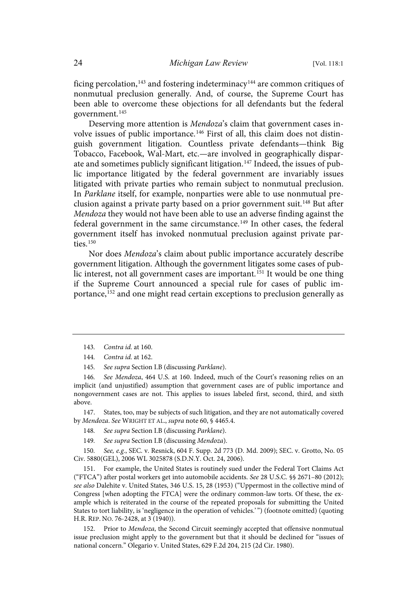ficing percolation, <sup>143</sup> and fostering indeterminacy<sup>144</sup> are common critiques of nonmutual preclusion generally. And, of course, the Supreme Court has been able to overcome these objections for all defendants but the federal government.<sup>145</sup>

Deserving more attention is Mendoza's claim that government cases involve issues of public importance.<sup>146</sup> First of all, this claim does not distinguish government litigation. Countless private defendants—think Big Tobacco, Facebook, Wal-Mart, etc.—are involved in geographically disparate and sometimes publicly significant litigation.<sup>147</sup> Indeed, the issues of public importance litigated by the federal government are invariably issues litigated with private parties who remain subject to nonmutual preclusion. In Parklane itself, for example, nonparties were able to use nonmutual preclusion against a private party based on a prior government suit. <sup>148</sup> But after Mendoza they would not have been able to use an adverse finding against the federal government in the same circumstance.<sup>149</sup> In other cases, the federal government itself has invoked nonmutual preclusion against private parties.<sup>150</sup>

Nor does Mendoza's claim about public importance accurately describe government litigation. Although the government litigates some cases of public interest, not all government cases are important.<sup>151</sup> It would be one thing if the Supreme Court announced a special rule for cases of public importance, <sup>152</sup> and one might read certain exceptions to preclusion generally as

147. States, too, may be subjects of such litigation, and they are not automatically covered by Mendoza. See WRIGHT ET AL., supra note 60, § 4465.4.

- 148. See supra Section I.B (discussing Parklane).
- 149. See supra Section I.B (discussing Mendoza).

150. See, e.g., SEC. v. Resnick, 604 F. Supp. 2d 773 (D. Md. 2009); SEC. v. Grotto, No. 05 Civ. 5880(GEL), 2006 WL 3025878 (S.D.N.Y. Oct. 24, 2006).

151. For example, the United States is routinely sued under the Federal Tort Claims Act ("FTCA") after postal workers get into automobile accidents. See 28 U.S.C. §§ 2671–80 (2012); see also Dalehite v. United States, 346 U.S. 15, 28 (1953) ("Uppermost in the collective mind of Congress [when adopting the FTCA] were the ordinary common-law torts. Of these, the example which is reiterated in the course of the repeated proposals for submitting the United States to tort liability, is 'negligence in the operation of vehicles.' ") (footnote omitted) (quoting H.R. REP. NO. 76-2428, at 3 (1940)).

152. Prior to Mendoza, the Second Circuit seemingly accepted that offensive nonmutual issue preclusion might apply to the government but that it should be declined for "issues of national concern." Olegario v. United States, 629 F.2d 204, 215 (2d Cir. 1980).

<sup>143.</sup> Contra id. at 160.

<sup>144.</sup> Contra id. at 162.

<sup>145.</sup> See supra Section I.B (discussing Parklane).

<sup>146.</sup> See Mendoza, 464 U.S. at 160. Indeed, much of the Court's reasoning relies on an implicit (and unjustified) assumption that government cases are of public importance and nongovernment cases are not. This applies to issues labeled first, second, third, and sixth above.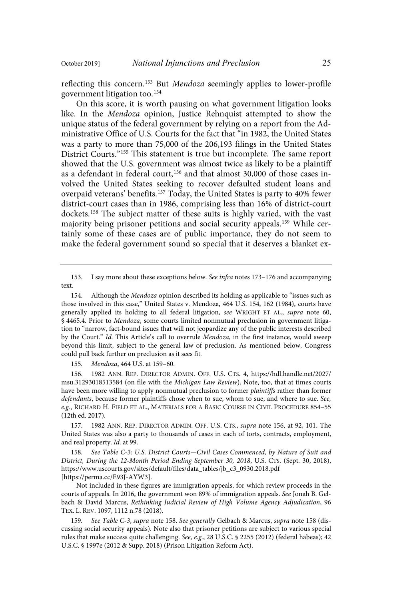reflecting this concern.<sup>153</sup> But Mendoza seemingly applies to lower-profile government litigation too.<sup>154</sup>

On this score, it is worth pausing on what government litigation looks like. In the Mendoza opinion, Justice Rehnquist attempted to show the unique status of the federal government by relying on a report from the Administrative Office of U.S. Courts for the fact that "in 1982, the United States was a party to more than 75,000 of the 206,193 filings in the United States District Courts."<sup>155</sup> This statement is true but incomplete. The same report showed that the U.S. government was almost twice as likely to be a plaintiff as a defendant in federal court,<sup>156</sup> and that almost 30,000 of those cases involved the United States seeking to recover defaulted student loans and overpaid veterans' benefits.<sup>157</sup> Today, the United States is party to 40% fewer district-court cases than in 1986, comprising less than 16% of district-court dockets.<sup>158</sup> The subject matter of these suits is highly varied, with the vast majority being prisoner petitions and social security appeals.<sup>159</sup> While certainly some of these cases are of public importance, they do not seem to make the federal government sound so special that it deserves a blanket ex-

155. Mendoza, 464 U.S. at 159-60.

156. 1982 ANN. REP. DIRECTOR ADMIN. OFF. U.S. CTS. 4, https://hdl.handle.net/2027/ msu.31293018513584 (on file with the Michigan Law Review). Note, too, that at times courts have been more willing to apply nonmutual preclusion to former plaintiffs rather than former defendants, because former plaintiffs chose when to sue, whom to sue, and where to sue. See, e.g., RICHARD H. FIELD ET AL., MATERIALS FOR A BASIC COURSE IN CIVIL PROCEDURE 854-55 (12th ed. 2017).

157. 1982 ANN. REP. DIRECTOR ADMIN. OFF. U.S. CTS., supra note 156, at 92, 101. The United States was also a party to thousands of cases in each of torts, contracts, employment, and real property. Id. at 99.

158. See Table C-3: U.S. District Courts—Civil Cases Commenced, by Nature of Suit and District, During the 12-Month Period Ending September 30, 2018, U.S. CTS. (Sept. 30, 2018), https://www.uscourts.gov/sites/default/files/data\_tables/jb\_c3\_0930.2018.pdf [https://perma.cc/E93J-AYW3].

Not included in these figures are immigration appeals, for which review proceeds in the courts of appeals. In 2016, the government won 89% of immigration appeals. See Jonah B. Gelbach & David Marcus, Rethinking Judicial Review of High Volume Agency Adjudication, 96 TEX. L. REV. 1097, 1112 n.78 (2018).

159. See Table C-3, supra note 158. See generally Gelbach & Marcus, supra note 158 (discussing social security appeals). Note also that prisoner petitions are subject to various special rules that make success quite challenging. See, e.g., 28 U.S.C. § 2255 (2012) (federal habeas); 42 U.S.C. § 1997e (2012 & Supp. 2018) (Prison Litigation Reform Act).

<sup>153.</sup> I say more about these exceptions below. See infra notes 173–176 and accompanying text.

<sup>154.</sup> Although the Mendoza opinion described its holding as applicable to "issues such as those involved in this case," United States v. Mendoza, 464 U.S. 154, 162 (1984), courts have generally applied its holding to all federal litigation, see WRIGHT ET AL., supra note 60, § 4465.4. Prior to Mendoza, some courts limited nonmutual preclusion in government litigation to "narrow, fact-bound issues that will not jeopardize any of the public interests described by the Court." Id. This Article's call to overrule Mendoza, in the first instance, would sweep beyond this limit, subject to the general law of preclusion. As mentioned below, Congress could pull back further on preclusion as it sees fit.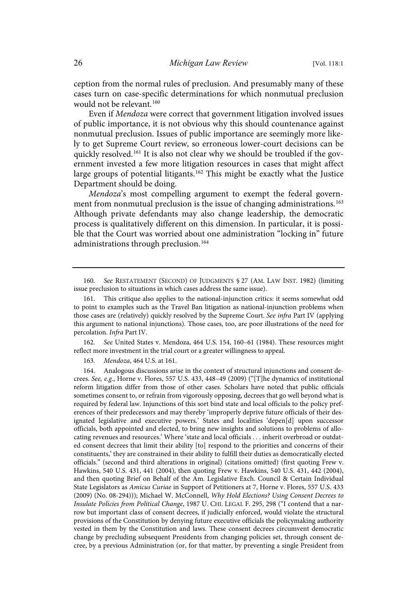ception from the normal rules of preclusion. And presumably many of these cases turn on case-specific determinations for which nonmutual preclusion would not be relevant. 160

Even if Mendoza were correct that government litigation involved issues of public importance, it is not obvious why this should countenance against nonmutual preclusion. Issues of public importance are seemingly more likely to get Supreme Court review, so erroneous lower-court decisions can be quickly resolved.<sup>161</sup> It is also not clear why we should be troubled if the government invested a few more litigation resources in cases that might affect large groups of potential litigants.<sup>162</sup> This might be exactly what the Justice Department should be doing.

Mendoza's most compelling argument to exempt the federal government from nonmutual preclusion is the issue of changing administrations. 163 Although private defendants may also change leadership, the democratic process is qualitatively different on this dimension. In particular, it is possible that the Court was worried about one administration "locking in" future administrations through preclusion. 164

162. See United States v. Mendoza, 464 U.S. 154, 160–61 (1984). These resources might reflect more investment in the trial court or a greater willingness to appeal.

163. Mendoza, 464 U.S. at 161.

164. Analogous discussions arise in the context of structural injunctions and consent decrees. See, e.g., Horne v. Flores, 557 U.S. 433, 448-49 (2009) ("[T]he dynamics of institutional reform litigation differ from those of other cases. Scholars have noted that public officials sometimes consent to, or refrain from vigorously opposing, decrees that go well beyond what is required by federal law. Injunctions of this sort bind state and local officials to the policy preferences of their predecessors and may thereby 'improperly deprive future officials of their designated legislative and executive powers.' States and localities 'depen[d] upon successor officials, both appointed and elected, to bring new insights and solutions to problems of allocating revenues and resources.' Where 'state and local officials . . . inherit overbroad or outdated consent decrees that limit their ability [to] respond to the priorities and concerns of their constituents,' they are constrained in their ability to fulfill their duties as democratically elected officials." (second and third alterations in original) (citations omitted) (first quoting Frew v. Hawkins, 540 U.S. 431, 441 (2004), then quoting Frew v. Hawkins, 540 U.S. 431, 442 (2004), and then quoting Brief on Behalf of the Am. Legislative Exch. Council & Certain Individual State Legislators as Amicus Curiae in Support of Petitioners at 7, Horne v. Flores, 557 U.S. 433 (2009) (No. 08-294))); Michael W. McConnell, Why Hold Elections? Using Consent Decrees to Insulate Policies from Political Change, 1987 U. CHI. LEGAL F. 295, 298 ("I contend that a narrow but important class of consent decrees, if judicially enforced, would violate the structural provisions of the Constitution by denying future executive officials the policymaking authority vested in them by the Constitution and laws. These consent decrees circumvent democratic change by precluding subsequent Presidents from changing policies set, through consent decree, by a previous Administration (or, for that matter, by preventing a single President from

<sup>160.</sup> See RESTATEMENT (SECOND) OF JUDGMENTS § 27 (AM. LAW INST. 1982) (limiting issue preclusion to situations in which cases address the same issue).

This critique also applies to the national-injunction critics: it seems somewhat odd to point to examples such as the Travel Ban litigation as national-injunction problems when those cases are (relatively) quickly resolved by the Supreme Court. See infra Part IV (applying this argument to national injunctions). Those cases, too, are poor illustrations of the need for percolation. Infra Part IV.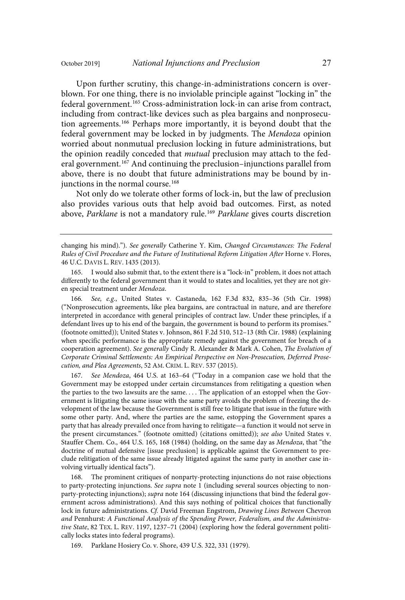Upon further scrutiny, this change-in-administrations concern is overblown. For one thing, there is no inviolable principle against "locking in" the federal government.<sup>165</sup> Cross-administration lock-in can arise from contract, including from contract-like devices such as plea bargains and nonprosecution agreements.<sup>166</sup> Perhaps more importantly, it is beyond doubt that the federal government may be locked in by judgments. The Mendoza opinion worried about nonmutual preclusion locking in future administrations, but the opinion readily conceded that mutual preclusion may attach to the federal government.<sup>167</sup> And continuing the preclusion–injunctions parallel from above, there is no doubt that future administrations may be bound by injunctions in the normal course.<sup>168</sup>

Not only do we tolerate other forms of lock-in, but the law of preclusion also provides various outs that help avoid bad outcomes. First, as noted above, Parklane is not a mandatory rule.<sup>169</sup> Parklane gives courts discretion

changing his mind)."). See generally Catherine Y. Kim, Changed Circumstances: The Federal Rules of Civil Procedure and the Future of Institutional Reform Litigation After Horne v. Flores, 46 U.C. DAVIS L. REV. 1435 (2013).

165. I would also submit that, to the extent there is a "lock-in" problem, it does not attach differently to the federal government than it would to states and localities, yet they are not given special treatment under Mendoza.

166. See, e.g., United States v. Castaneda, 162 F.3d 832, 835-36 (5th Cir. 1998) ("Nonprosecution agreements, like plea bargains, are contractual in nature, and are therefore interpreted in accordance with general principles of contract law. Under these principles, if a defendant lives up to his end of the bargain, the government is bound to perform its promises." (footnote omitted)); United States v. Johnson, 861 F.2d 510, 512–13 (8th Cir. 1988) (explaining when specific performance is the appropriate remedy against the government for breach of a cooperation agreement). See generally Cindy R. Alexander & Mark A. Cohen, The Evolution of Corporate Criminal Settlements: An Empirical Perspective on Non-Prosecution, Deferred Prosecution, and Plea Agreements, 52 AM. CRIM. L. REV. 537 (2015).

167. See Mendoza, 464 U.S. at 163-64 ("Today in a companion case we hold that the Government may be estopped under certain circumstances from relitigating a question when the parties to the two lawsuits are the same. . . . The application of an estoppel when the Government is litigating the same issue with the same party avoids the problem of freezing the development of the law because the Government is still free to litigate that issue in the future with some other party. And, where the parties are the same, estopping the Government spares a party that has already prevailed once from having to relitigate—a function it would not serve in the present circumstances." (footnote omitted) (citations omitted)); see also United States v. Stauffer Chem. Co., 464 U.S. 165, 168 (1984) (holding, on the same day as Mendoza, that "the doctrine of mutual defensive [issue preclusion] is applicable against the Government to preclude relitigation of the same issue already litigated against the same party in another case involving virtually identical facts").

168. The prominent critiques of nonparty-protecting injunctions do not raise objections to party-protecting injunctions. See supra note 1 (including several sources objecting to nonparty-protecting injunctions); supra note 164 (discussing injunctions that bind the federal government across administrations). And this says nothing of political choices that functionally lock in future administrations. Cf. David Freeman Engstrom, Drawing Lines Between Chevron and Pennhurst: A Functional Analysis of the Spending Power, Federalism, and the Administrative State, 82 TEX. L. REV. 1197, 1237–71 (2004) (exploring how the federal government politically locks states into federal programs).

169. Parklane Hosiery Co. v. Shore, 439 U.S. 322, 331 (1979).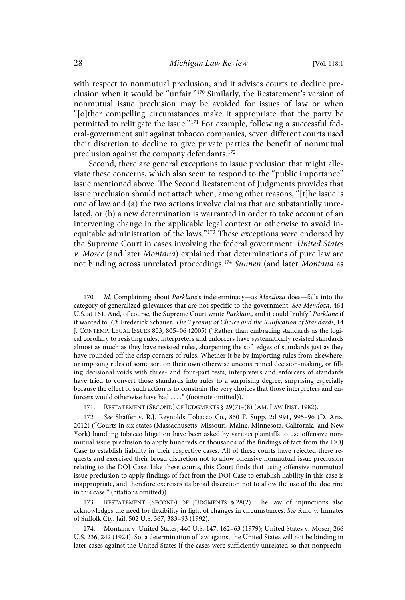with respect to nonmutual preclusion, and it advises courts to decline preclusion when it would be "unfair." <sup>170</sup> Similarly, the Restatement's version of nonmutual issue preclusion may be avoided for issues of law or when "[o]ther compelling circumstances make it appropriate that the party be permitted to relitigate the issue."<sup>171</sup> For example, following a successful federal-government suit against tobacco companies, seven different courts used their discretion to decline to give private parties the benefit of nonmutual preclusion against the company defendants.<sup>172</sup>

Second, there are general exceptions to issue preclusion that might alleviate these concerns, which also seem to respond to the "public importance" issue mentioned above. The Second Restatement of Judgments provides that issue preclusion should not attach when, among other reasons, "[t]he issue is one of law and (a) the two actions involve claims that are substantially unrelated, or (b) a new determination is warranted in order to take account of an intervening change in the applicable legal context or otherwise to avoid inequitable administration of the laws."<sup>173</sup> These exceptions were endorsed by the Supreme Court in cases involving the federal government. United States  $v$ . Moser (and later Montana) explained that determinations of pure law are not binding across unrelated proceedings.<sup>174</sup> Sunnen (and later Montana as

RESTATEMENT (SECOND) OF JUDGMENTS  $$ 28(2)$ . The law of injunctions also acknowledges the need for flexibility in light of changes in circumstances. See Rufo v. Inmates of Suffolk Cty. Jail, 502 U.S. 367, 383–93 (1992).

174. Montana v. United States, 440 U.S. 147, 162–63 (1979); United States v. Moser, 266 U.S. 236, 242 (1924). So, a determination of law against the United States will not be binding in later cases against the United States if the cases were sufficiently unrelated so that nonpreclu-

<sup>170.</sup> Id. Complaining about Parklane's indeterminacy—as Mendoza does—falls into the category of generalized grievances that are not specific to the government. See Mendoza, 464 U.S. at 161. And, of course, the Supreme Court wrote Parklane, and it could "rulify" Parklane if it wanted to. Cf. Frederick Schauer, The Tyranny of Choice and the Rulification of Standards, 14 J. CONTEMP. LEGAL ISSUES 803, 805–06 (2005) ("Rather than embracing standards as the logical corollary to resisting rules, interpreters and enforcers have systematically resisted standards almost as much as they have resisted rules, sharpening the soft edges of standards just as they have rounded off the crisp corners of rules. Whether it be by importing rules from elsewhere, or imposing rules of some sort on their own otherwise unconstrained decision-making, or filling decisional voids with three- and four-part tests, interpreters and enforcers of standards have tried to convert those standards into rules to a surprising degree, surprising especially because the effect of such action is to constrain the very choices that those interpreters and enforcers would otherwise have had . . . ." (footnote omitted)).

<sup>171.</sup> RESTATEMENT (SECOND) OF JUDGMENTS § 29(7)–(8) (AM. LAW INST. 1982).

<sup>172.</sup> See Shaffer v. R.J. Reynolds Tobacco Co., 860 F. Supp. 2d 991, 995-96 (D. Ariz. 2012) ("Courts in six states (Massachusetts, Missouri, Maine, Minnesota, California, and New York) handling tobacco litigation have been asked by various plaintiffs to use offensive nonmutual issue preclusion to apply hundreds or thousands of the findings of fact from the DOJ Case to establish liability in their respective cases. All of these courts have rejected these requests and exercised their broad discretion not to allow offensive nonmutual issue preclusion relating to the DOJ Case. Like these courts, this Court finds that using offensive nonmutual issue preclusion to apply findings of fact from the DOJ Case to establish liability in this case is inappropriate, and therefore exercises its broad discretion not to allow the use of the doctrine in this case." (citations omitted)).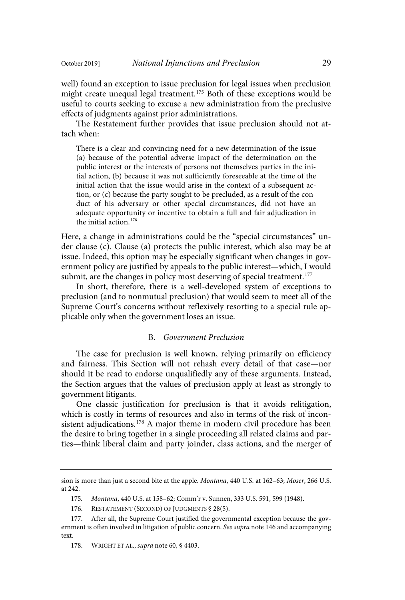well) found an exception to issue preclusion for legal issues when preclusion might create unequal legal treatment.<sup>175</sup> Both of these exceptions would be useful to courts seeking to excuse a new administration from the preclusive effects of judgments against prior administrations.

The Restatement further provides that issue preclusion should not attach when:

There is a clear and convincing need for a new determination of the issue (a) because of the potential adverse impact of the determination on the public interest or the interests of persons not themselves parties in the initial action, (b) because it was not sufficiently foreseeable at the time of the initial action that the issue would arise in the context of a subsequent action, or (c) because the party sought to be precluded, as a result of the conduct of his adversary or other special circumstances, did not have an adequate opportunity or incentive to obtain a full and fair adjudication in the initial action. 176

Here, a change in administrations could be the "special circumstances" under clause (c). Clause (a) protects the public interest, which also may be at issue. Indeed, this option may be especially significant when changes in government policy are justified by appeals to the public interest—which, I would submit, are the changes in policy most deserving of special treatment.<sup>177</sup>

In short, therefore, there is a well-developed system of exceptions to preclusion (and to nonmutual preclusion) that would seem to meet all of the Supreme Court's concerns without reflexively resorting to a special rule applicable only when the government loses an issue.

#### B. Government Preclusion

The case for preclusion is well known, relying primarily on efficiency and fairness. This Section will not rehash every detail of that case—nor should it be read to endorse unqualifiedly any of these arguments. Instead, the Section argues that the values of preclusion apply at least as strongly to government litigants.

One classic justification for preclusion is that it avoids relitigation, which is costly in terms of resources and also in terms of the risk of inconsistent adjudications.<sup>178</sup> A major theme in modern civil procedure has been the desire to bring together in a single proceeding all related claims and parties—think liberal claim and party joinder, class actions, and the merger of

sion is more than just a second bite at the apple. Montana, 440 U.S. at 162–63; Moser, 266 U.S. at 242.

<sup>175.</sup> Montana, 440 U.S. at 158-62; Comm'r v. Sunnen, 333 U.S. 591, 599 (1948).

<sup>176.</sup> RESTATEMENT (SECOND) OF JUDGMENTS § 28(5).

<sup>177.</sup> After all, the Supreme Court justified the governmental exception because the government is often involved in litigation of public concern. See supra note 146 and accompanying text.

<sup>178.</sup> WRIGHT ET AL., supra note 60, § 4403.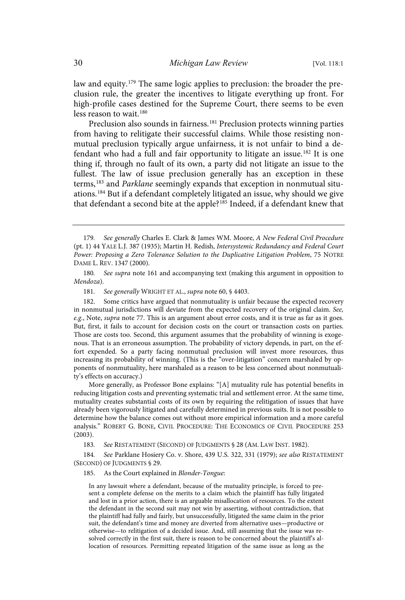law and equity.<sup>179</sup> The same logic applies to preclusion: the broader the preclusion rule, the greater the incentives to litigate everything up front. For high-profile cases destined for the Supreme Court, there seems to be even less reason to wait. 180

Preclusion also sounds in fairness.<sup>181</sup> Preclusion protects winning parties from having to relitigate their successful claims. While those resisting nonmutual preclusion typically argue unfairness, it is not unfair to bind a defendant who had a full and fair opportunity to litigate an issue.<sup>182</sup> It is one thing if, through no fault of its own, a party did not litigate an issue to the fullest. The law of issue preclusion generally has an exception in these terms,<sup>183</sup> and *Parklane* seemingly expands that exception in nonmutual situations. <sup>184</sup> But if a defendant completely litigated an issue, why should we give that defendant a second bite at the apple?<sup>185</sup> Indeed, if a defendant knew that

180. See supra note 161 and accompanying text (making this argument in opposition to Mendoza).

181. See generally WRIGHT ET AL., supra note 60, § 4403.

182. Some critics have argued that nonmutuality is unfair because the expected recovery in nonmutual jurisdictions will deviate from the expected recovery of the original claim. See, e.g., Note, supra note 77. This is an argument about error costs, and it is true as far as it goes. But, first, it fails to account for decision costs on the court or transaction costs on parties. Those are costs too. Second, this argument assumes that the probability of winning is exogenous. That is an erroneous assumption. The probability of victory depends, in part, on the effort expended. So a party facing nonmutual preclusion will invest more resources, thus increasing its probability of winning. (This is the "over-litigation" concern marshaled by opponents of nonmutuality, here marshaled as a reason to be less concerned about nonmutuality's effects on accuracy.)

More generally, as Professor Bone explains: "[A] mutuality rule has potential benefits in reducing litigation costs and preventing systematic trial and settlement error. At the same time, mutuality creates substantial costs of its own by requiring the relitigation of issues that have already been vigorously litigated and carefully determined in previous suits. It is not possible to determine how the balance comes out without more empirical information and a more careful analysis." ROBERT G. BONE, CIVIL PROCEDURE: THE ECONOMICS OF CIVIL PROCEDURE 253 (2003).

183. See RESTATEMENT (SECOND) OF JUDGMENTS § 28 (AM. LAW INST. 1982).

184. See Parklane Hosiery Co. v. Shore, 439 U.S. 322, 331 (1979); see also RESTATEMENT (SECOND) OF JUDGMENTS § 29.

185. As the Court explained in Blonder-Tongue:

In any lawsuit where a defendant, because of the mutuality principle, is forced to present a complete defense on the merits to a claim which the plaintiff has fully litigated and lost in a prior action, there is an arguable misallocation of resources. To the extent the defendant in the second suit may not win by asserting, without contradiction, that the plaintiff had fully and fairly, but unsuccessfully, litigated the same claim in the prior suit, the defendant's time and money are diverted from alternative uses—productive or otherwise—to relitigation of a decided issue. And, still assuming that the issue was resolved correctly in the first suit, there is reason to be concerned about the plaintiff's allocation of resources. Permitting repeated litigation of the same issue as long as the

<sup>179.</sup> See generally Charles E. Clark & James WM. Moore, A New Federal Civil Procedure (pt. 1) 44 YALE L.J. 387 (1935); Martin H. Redish, Intersystemic Redundancy and Federal Court Power: Proposing a Zero Tolerance Solution to the Duplicative Litigation Problem, 75 NOTRE DAME L. REV. 1347 (2000).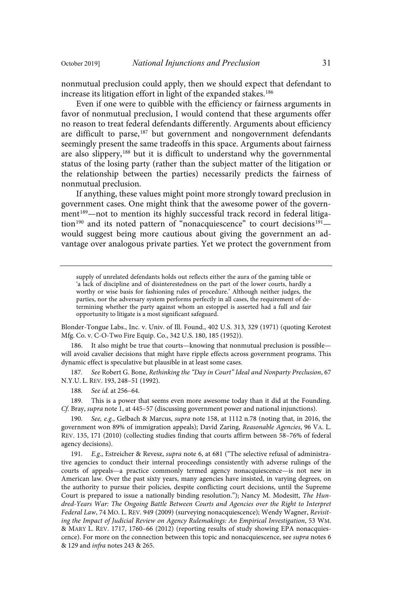nonmutual preclusion could apply, then we should expect that defendant to increase its litigation effort in light of the expanded stakes.<sup>186</sup>

Even if one were to quibble with the efficiency or fairness arguments in favor of nonmutual preclusion, I would contend that these arguments offer no reason to treat federal defendants differently. Arguments about efficiency are difficult to parse,<sup>187</sup> but government and nongovernment defendants seemingly present the same tradeoffs in this space. Arguments about fairness are also slippery,<sup>188</sup> but it is difficult to understand why the governmental status of the losing party (rather than the subject matter of the litigation or the relationship between the parties) necessarily predicts the fairness of nonmutual preclusion.

If anything, these values might point more strongly toward preclusion in government cases. One might think that the awesome power of the government <sup>189</sup>—not to mention its highly successful track record in federal litigation<sup>190</sup> and its noted pattern of "nonacquiescence" to court decisions<sup>191</sup>would suggest being more cautious about giving the government an advantage over analogous private parties. Yet we protect the government from

supply of unrelated defendants holds out reflects either the aura of the gaming table or 'a lack of discipline and of disinterestedness on the part of the lower courts, hardly a worthy or wise basis for fashioning rules of procedure.' Although neither judges, the parties, nor the adversary system performs perfectly in all cases, the requirement of determining whether the party against whom an estoppel is asserted had a full and fair opportunity to litigate is a most significant safeguard.

Blonder-Tongue Labs., Inc. v. Univ. of Ill. Found., 402 U.S. 313, 329 (1971) (quoting Kerotest Mfg. Co. v. C-O-Two Fire Equip. Co., 342 U.S. 180, 185 (1952)).

It also might be true that courts—knowing that nonmutual preclusion is possible will avoid cavalier decisions that might have ripple effects across government programs. This dynamic effect is speculative but plausible in at least some cases.

187. See Robert G. Bone, Rethinking the "Day in Court" Ideal and Nonparty Preclusion, 67 N.Y.U. L. REV. 193, 248–51 (1992).

188. See id. at 256-64.

189. This is a power that seems even more awesome today than it did at the Founding. Cf. Bray, supra note 1, at 445-57 (discussing government power and national injunctions).

190. See, e.g., Gelbach & Marcus, supra note 158, at 1112 n.78 (noting that, in 2016, the government won 89% of immigration appeals); David Zaring, Reasonable Agencies, 96 VA. L. REV. 135, 171 (2010) (collecting studies finding that courts affirm between 58–76% of federal agency decisions).

191. E.g., Estreicher & Revesz, supra note 6, at 681 ("The selective refusal of administrative agencies to conduct their internal proceedings consistently with adverse rulings of the courts of appeals—a practice commonly termed agency nonacquiescence—is not new in American law. Over the past sixty years, many agencies have insisted, in varying degrees, on the authority to pursue their policies, despite conflicting court decisions, until the Supreme Court is prepared to issue a nationally binding resolution."); Nancy M. Modesitt, The Hundred-Years War: The Ongoing Battle Between Courts and Agencies over the Right to Interpret Federal Law, 74 MO. L. REV. 949 (2009) (surveying nonacquiescence); Wendy Wagner, Revisiting the Impact of Judicial Review on Agency Rulemakings: An Empirical Investigation, 53 WM. & MARY L. REV. 1717, 1760–66 (2012) (reporting results of study showing EPA nonacquiescence). For more on the connection between this topic and nonacquiescence, see supra notes 6 & 129 and infra notes 243 & 265.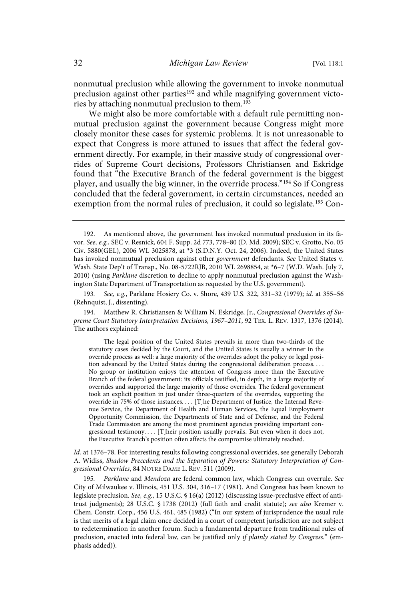nonmutual preclusion while allowing the government to invoke nonmutual preclusion against other parties<sup>192</sup> and while magnifying government victories by attaching nonmutual preclusion to them.<sup>193</sup>

We might also be more comfortable with a default rule permitting nonmutual preclusion against the government because Congress might more closely monitor these cases for systemic problems. It is not unreasonable to expect that Congress is more attuned to issues that affect the federal government directly. For example, in their massive study of congressional overrides of Supreme Court decisions, Professors Christiansen and Eskridge found that "the Executive Branch of the federal government is the biggest player, and usually the big winner, in the override process."<sup>194</sup> So if Congress concluded that the federal government, in certain circumstances, needed an exemption from the normal rules of preclusion, it could so legislate.<sup>195</sup> Con-

193. See, e.g., Parklane Hosiery Co. v. Shore, 439 U.S. 322, 331-32 (1979); id. at 355-56 (Rehnquist, J., dissenting).

194. Matthew R. Christiansen & William N. Eskridge, Jr., Congressional Overrides of Supreme Court Statutory Interpretation Decisions, 1967–2011, 92 TEX. L. REV. 1317, 1376 (2014). The authors explained:

The legal position of the United States prevails in more than two-thirds of the statutory cases decided by the Court, and the United States is usually a winner in the override process as well: a large majority of the overrides adopt the policy or legal position advanced by the United States during the congressional deliberation process. . . . No group or institution enjoys the attention of Congress more than the Executive Branch of the federal government: its officials testified, in depth, in a large majority of overrides and supported the large majority of those overrides. The federal government took an explicit position in just under three-quarters of the overrides, supporting the override in 75% of those instances. . . . [T]he Department of Justice, the Internal Revenue Service, the Department of Health and Human Services, the Equal Employment Opportunity Commission, the Departments of State and of Defense, and the Federal Trade Commission are among the most prominent agencies providing important congressional testimony. . . . [T]heir position usually prevails. But even when it does not, the Executive Branch's position often affects the compromise ultimately reached.

Id. at 1376–78. For interesting results following congressional overrides, see generally Deborah A. Widiss, Shadow Precedents and the Separation of Powers: Statutory Interpretation of Congressional Overrides, 84 NOTRE DAME L. REV. 511 (2009).

Parklane and Mendoza are federal common law, which Congress can overrule. See City of Milwaukee v. Illinois, 451 U.S. 304, 316–17 (1981). And Congress has been known to legislate preclusion. See, e.g., 15 U.S.C. § 16(a) (2012) (discussing issue-preclusive effect of antitrust judgments); 28 U.S.C. § 1738 (2012) (full faith and credit statute); see also Kremer v. Chem. Constr. Corp., 456 U.S. 461, 485 (1982) ("In our system of jurisprudence the usual rule is that merits of a legal claim once decided in a court of competent jurisdiction are not subject to redetermination in another forum. Such a fundamental departure from traditional rules of preclusion, enacted into federal law, can be justified only if plainly stated by Congress." (emphasis added)).

<sup>192.</sup> As mentioned above, the government has invoked nonmutual preclusion in its favor. See, e.g., SEC v. Resnick, 604 F. Supp. 2d 773, 778-80 (D. Md. 2009); SEC v. Grotto, No. 05 Civ. 5880(GEL), 2006 WL 3025878, at \*3 (S.D.N.Y. Oct. 24, 2006). Indeed, the United States has invoked nonmutual preclusion against other government defendants. See United States v. Wash. State Dep't of Transp., No. 08-5722RJB, 2010 WL 2698854, at \*6–7 (W.D. Wash. July 7, 2010) (using Parklane discretion to decline to apply nonmutual preclusion against the Washington State Department of Transportation as requested by the U.S. government).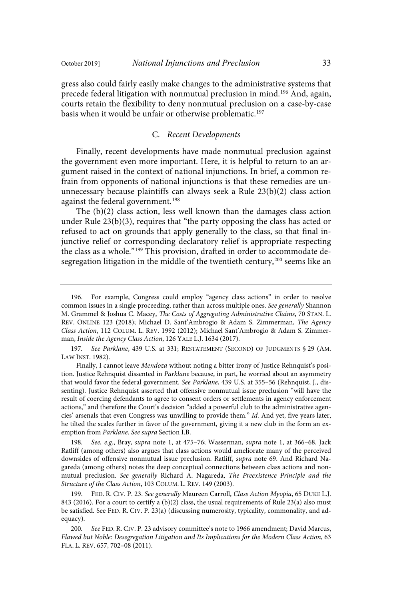gress also could fairly easily make changes to the administrative systems that precede federal litigation with nonmutual preclusion in mind. <sup>196</sup> And, again, courts retain the flexibility to deny nonmutual preclusion on a case-by-case basis when it would be unfair or otherwise problematic.<sup>197</sup>

#### C. Recent Developments

Finally, recent developments have made nonmutual preclusion against the government even more important. Here, it is helpful to return to an argument raised in the context of national injunctions. In brief, a common refrain from opponents of national injunctions is that these remedies are ununnecessary because plaintiffs can always seek a Rule 23(b)(2) class action against the federal government. 198

The (b)(2) class action, less well known than the damages class action under Rule 23(b)(3), requires that "the party opposing the class has acted or refused to act on grounds that apply generally to the class, so that final injunctive relief or corresponding declaratory relief is appropriate respecting the class as a whole."<sup>199</sup> This provision, drafted in order to accommodate desegregation litigation in the middle of the twentieth century, $^{200}$  seems like an

197. See Parklane, 439 U.S. at 331; RESTATEMENT (SECOND) OF JUDGMENTS § 29 (AM. LAW INST. 1982).

198. See, e.g., Bray, supra note 1, at 475-76; Wasserman, supra note 1, at 366-68. Jack Ratliff (among others) also argues that class actions would ameliorate many of the perceived downsides of offensive nonmutual issue preclusion. Ratliff, supra note 69. And Richard Nagareda (among others) notes the deep conceptual connections between class actions and nonmutual preclusion. See generally Richard A. Nagareda, The Preexistence Principle and the Structure of the Class Action, 103 COLUM. L. REV. 149 (2003).

199. FED. R. CIV. P. 23. See generally Maureen Carroll, Class Action Myopia, 65 DUKE L.J. 843 (2016). For a court to certify a (b)(2) class, the usual requirements of Rule 23(a) also must be satisfied. See FED. R. CIV. P. 23(a) (discussing numerosity, typicality, commonality, and adequacy).

<sup>196.</sup> For example, Congress could employ "agency class actions" in order to resolve common issues in a single proceeding, rather than across multiple ones. See generally Shannon M. Grammel & Joshua C. Macey, The Costs of Aggregating Administrative Claims, 70 STAN. L. REV. ONLINE 123 (2018); Michael D. Sant'Ambrogio & Adam S. Zimmerman, The Agency Class Action, 112 COLUM. L. REV. 1992 (2012); Michael Sant'Ambrogio & Adam S. Zimmerman, Inside the Agency Class Action, 126 YALE L.J. 1634 (2017).

Finally, I cannot leave Mendoza without noting a bitter irony of Justice Rehnquist's position. Justice Rehnquist dissented in Parklane because, in part, he worried about an asymmetry that would favor the federal government. See Parklane, 439 U.S. at 355-56 (Rehnquist, J., dissenting). Justice Rehnquist asserted that offensive nonmutual issue preclusion "will have the result of coercing defendants to agree to consent orders or settlements in agency enforcement actions," and therefore the Court's decision "added a powerful club to the administrative agencies' arsenals that even Congress was unwilling to provide them." Id. And yet, five years later, he tilted the scales further in favor of the government, giving it a new club in the form an exemption from Parklane. See supra Section I.B.

<sup>200.</sup> See FED. R. CIV. P. 23 advisory committee's note to 1966 amendment; David Marcus, Flawed but Noble: Desegregation Litigation and Its Implications for the Modern Class Action, 63 FLA. L. REV. 657, 702–08 (2011).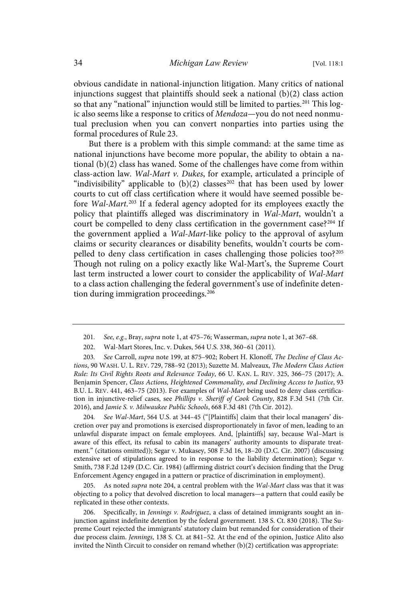obvious candidate in national-injunction litigation. Many critics of national injunctions suggest that plaintiffs should seek a national  $(b)(2)$  class action so that any "national" injunction would still be limited to parties.<sup>201</sup> This logic also seems like a response to critics of Mendoza—you do not need nonmutual preclusion when you can convert nonparties into parties using the formal procedures of Rule 23.

But there is a problem with this simple command: at the same time as national injunctions have become more popular, the ability to obtain a national (b)(2) class has waned. Some of the challenges have come from within class-action law. Wal-Mart v. Dukes, for example, articulated a principle of "indivisibility" applicable to  $(b)(2)$  classes<sup>202</sup> that has been used by lower courts to cut off class certification where it would have seemed possible before Wal-Mart.<sup>203</sup> If a federal agency adopted for its employees exactly the policy that plaintiffs alleged was discriminatory in Wal-Mart, wouldn't a court be compelled to deny class certification in the government case?<sup>204</sup> If the government applied a Wal-Mart-like policy to the approval of asylum claims or security clearances or disability benefits, wouldn't courts be compelled to deny class certification in cases challenging those policies too?<sup>205</sup> Though not ruling on a policy exactly like Wal-Mart's, the Supreme Court last term instructed a lower court to consider the applicability of Wal-Mart to a class action challenging the federal government's use of indefinite detention during immigration proceedings. 206

203. See Carroll, supra note 199, at 875–902; Robert H. Klonoff, The Decline of Class Actions, 90 WASH. U. L. REV. 729, 788–92 (2013); Suzette M. Malveaux, The Modern Class Action Rule: Its Civil Rights Roots and Relevance Today, 66 U. KAN. L. REV. 325, 366–75 (2017); A. Benjamin Spencer, Class Actions, Heightened Commonality, and Declining Access to Justice, 93 B.U. L. REV. 441, 463–75 (2013). For examples of Wal-Mart being used to deny class certification in injunctive-relief cases, see Phillips v. Sheriff of Cook County, 828 F.3d 541 (7th Cir. 2016), and Jamie S. v. Milwaukee Public Schools, 668 F.3d 481 (7th Cir. 2012).

204. See Wal-Mart, 564 U.S. at 344-45 ("[Plaintiffs] claim that their local managers' discretion over pay and promotions is exercised disproportionately in favor of men, leading to an unlawful disparate impact on female employees. And, [plaintiffs] say, because Wal–Mart is aware of this effect, its refusal to cabin its managers' authority amounts to disparate treatment." (citations omitted)); Segar v. Mukasey, 508 F.3d 16, 18–20 (D.C. Cir. 2007) (discussing extensive set of stipulations agreed to in response to the liability determination); Segar v. Smith, 738 F.2d 1249 (D.C. Cir. 1984) (affirming district court's decision finding that the Drug Enforcement Agency engaged in a pattern or practice of discrimination in employment).

205. As noted *supra* note 204, a central problem with the Wal-Mart class was that it was objecting to a policy that devolved discretion to local managers—a pattern that could easily be replicated in these other contexts.

206. Specifically, in Jennings v. Rodriguez, a class of detained immigrants sought an injunction against indefinite detention by the federal government. 138 S. Ct. 830 (2018). The Supreme Court rejected the immigrants' statutory claim but remanded for consideration of their due process claim. Jennings, 138 S. Ct. at 841–52. At the end of the opinion, Justice Alito also invited the Ninth Circuit to consider on remand whether (b)(2) certification was appropriate:

<sup>201.</sup> See, e.g., Bray, supra note 1, at  $475-76$ ; Wasserman, supra note 1, at  $367-68$ .

<sup>202.</sup> Wal-Mart Stores, Inc. v. Dukes, 564 U.S. 338, 360–61 (2011).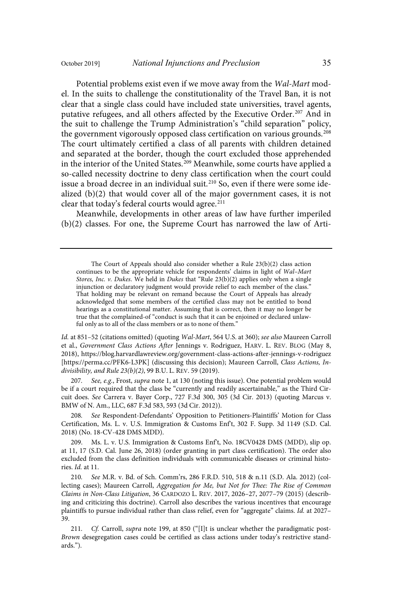Potential problems exist even if we move away from the Wal-Mart model. In the suits to challenge the constitutionality of the Travel Ban, it is not clear that a single class could have included state universities, travel agents, putative refugees, and all others affected by the Executive Order. <sup>207</sup> And in the suit to challenge the Trump Administration's "child separation" policy, the government vigorously opposed class certification on various grounds.<sup>208</sup> The court ultimately certified a class of all parents with children detained and separated at the border, though the court excluded those apprehended in the interior of the United States.<sup>209</sup> Meanwhile, some courts have applied a so-called necessity doctrine to deny class certification when the court could issue a broad decree in an individual suit. <sup>210</sup> So, even if there were some idealized (b)(2) that would cover all of the major government cases, it is not clear that today's federal courts would agree. $211$ 

Meanwhile, developments in other areas of law have further imperiled (b)(2) classes. For one, the Supreme Court has narrowed the law of Arti-

Id. at 851-52 (citations omitted) (quoting Wal-Mart, 564 U.S. at 360); see also Maureen Carroll et al., Government Class Actions After Jennings v. Rodriguez, HARV. L. REV. BLOG (May 8, 2018), https://blog.harvardlawreview.org/government-class-actions-after-jennings-v-rodriguez [https://perma.cc/PFK6-L3PK] (discussing this decision); Maureen Carroll, Class Actions, Indivisibility, and Rule 23(b)(2), 99 B.U. L. REV. 59 (2019).

207. See, e.g., Frost, supra note 1, at 130 (noting this issue). One potential problem would be if a court required that the class be "currently and readily ascertainable," as the Third Circuit does. See Carrera v. Bayer Corp., 727 F.3d 300, 305 (3d Cir. 2013) (quoting Marcus v. BMW of N. Am., LLC, 687 F.3d 583, 593 (3d Cir. 2012)).

See Respondent-Defendants' Opposition to Petitioners-Plaintiffs' Motion for Class Certification, Ms. L. v. U.S. Immigration & Customs Enf't, 302 F. Supp. 3d 1149 (S.D. Cal. 2018) (No. 18-CV-428 DMS MDD).

209. Ms. L. v. U.S. Immigration & Customs Enf't, No. 18CV0428 DMS (MDD), slip op. at 11, 17 (S.D. Cal. June 26, 2018) (order granting in part class certification). The order also excluded from the class definition individuals with communicable diseases or criminal histories. Id. at 11.

210. See M.R. v. Bd. of Sch. Comm'rs, 286 F.R.D. 510, 518 & n.11 (S.D. Ala. 2012) (collecting cases); Maureen Carroll, Aggregation for Me, but Not for Thee: The Rise of Common Claims in Non-Class Litigation, 36 CARDOZO L. REV. 2017, 2026–27, 2077–79 (2015) (describing and criticizing this doctrine). Carroll also describes the various incentives that encourage plaintiffs to pursue individual rather than class relief, even for "aggregate" claims. Id. at 2027-39.

211. Cf. Carroll, supra note 199, at 850 ("[I]t is unclear whether the paradigmatic post-Brown desegregation cases could be certified as class actions under today's restrictive standards.").

The Court of Appeals should also consider whether a Rule 23(b)(2) class action continues to be the appropriate vehicle for respondents' claims in light of Wal–Mart Stores, Inc. v. Dukes. We held in Dukes that "Rule  $23(b)(2)$  applies only when a single injunction or declaratory judgment would provide relief to each member of the class." That holding may be relevant on remand because the Court of Appeals has already acknowledged that some members of the certified class may not be entitled to bond hearings as a constitutional matter. Assuming that is correct, then it may no longer be true that the complained-of "conduct is such that it can be enjoined or declared unlawful only as to all of the class members or as to none of them."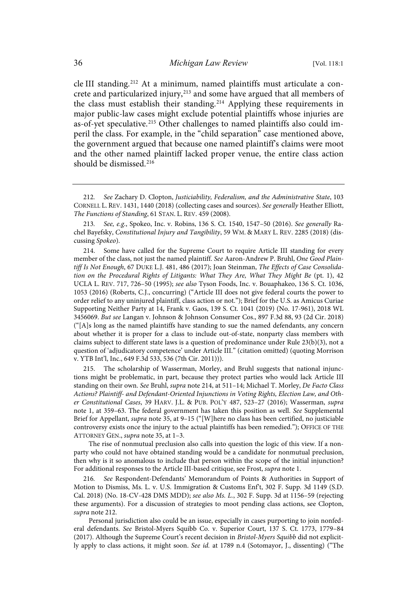cle III standing.<sup>212</sup> At a minimum, named plaintiffs must articulate a concrete and particularized injury,<sup>213</sup> and some have argued that all members of the class must establish their standing.<sup>214</sup> Applying these requirements in major public-law cases might exclude potential plaintiffs whose injuries are as-of-yet speculative.<sup>215</sup> Other challenges to named plaintiffs also could imperil the class. For example, in the "child separation" case mentioned above, the government argued that because one named plaintiff's claims were moot and the other named plaintiff lacked proper venue, the entire class action should be dismissed. 216

215. The scholarship of Wasserman, Morley, and Bruhl suggests that national injunctions might be problematic, in part, because they protect parties who would lack Article III standing on their own. See Bruhl, supra note 214, at 511-14; Michael T. Morley, De Facto Class Actions? Plaintiff- and Defendant-Oriented Injunctions in Voting Rights, Election Law, and Other Constitutional Cases, 39 HARV. J.L. & PUB. POL'Y 487, 523–27 (2016); Wasserman, supra note 1, at 359–63. The federal government has taken this position as well. See Supplemental Brief for Appellant, supra note 35, at 9–15 ("[W]here no class has been certified, no justiciable controversy exists once the injury to the actual plaintiffs has been remedied."); OFFICE OF THE ATTORNEY GEN., supra note 35, at 1–3.

The rise of nonmutual preclusion also calls into question the logic of this view. If a nonparty who could not have obtained standing would be a candidate for nonmutual preclusion, then why is it so anomalous to include that person within the scope of the initial injunction? For additional responses to the Article III-based critique, see Frost, supra note 1.

See Respondent-Defendants' Memorandum of Points & Authorities in Support of Motion to Dismiss, Ms. L. v. U.S. Immigration & Customs Enf't, 302 F. Supp. 3d 1149 (S.D. Cal. 2018) (No. 18-CV-428 DMS MDD); see also Ms. L., 302 F. Supp. 3d at 1156-59 (rejecting these arguments). For a discussion of strategies to moot pending class actions, see Clopton, supra note 212.

Personal jurisdiction also could be an issue, especially in cases purporting to join nonfederal defendants. See Bristol-Myers Squibb Co. v. Superior Court, 137 S. Ct. 1773, 1779–84 (2017). Although the Supreme Court's recent decision in Bristol-Myers Squibb did not explicitly apply to class actions, it might soon. See id. at 1789 n.4 (Sotomayor, J., dissenting) ("The

<sup>212</sup> . See Zachary D. Clopton, Justiciability, Federalism, and the Administrative State, 103 CORNELL L. REV. 1431, 1440 (2018) (collecting cases and sources). See generally Heather Elliott, The Functions of Standing, 61 STAN. L. REV. 459 (2008).

<sup>213.</sup> See, e.g., Spokeo, Inc. v. Robins, 136 S. Ct. 1540, 1547-50 (2016). See generally Rachel Bayefsky, Constitutional Injury and Tangibility, 59 WM. & MARY L. REV. 2285 (2018) (discussing Spokeo).

<sup>214.</sup> Some have called for the Supreme Court to require Article III standing for every member of the class, not just the named plaintiff. See Aaron-Andrew P. Bruhl, One Good Plaintiff Is Not Enough, 67 DUKE L.J. 481, 486 (2017); Joan Steinman, The Effects of Case Consolidation on the Procedural Rights of Litigants: What They Are, What They Might Be (pt. 1), 42 UCLA L. REV. 717, 726–50 (1995); see also Tyson Foods, Inc. v. Bouaphakeo, 136 S. Ct. 1036, 1053 (2016) (Roberts, C.J., concurring) ("Article III does not give federal courts the power to order relief to any uninjured plaintiff, class action or not."); Brief for the U.S. as Amicus Curiae Supporting Neither Party at 14, Frank v. Gaos, 139 S. Ct. 1041 (2019) (No. 17-961), 2018 WL 3456069. But see Langan v. Johnson & Johnson Consumer Cos., 897 F.3d 88, 93 (2d Cir. 2018) ("[A]s long as the named plaintiffs have standing to sue the named defendants, any concern about whether it is proper for a class to include out‐of‐state, nonparty class members with claims subject to different state laws is a question of predominance under Rule 23(b)(3), not a question of 'adjudicatory competence' under Article III." (citation omitted) (quoting Morrison v. YTB Int'l, Inc., 649 F.3d 533, 536 (7th Cir. 2011))).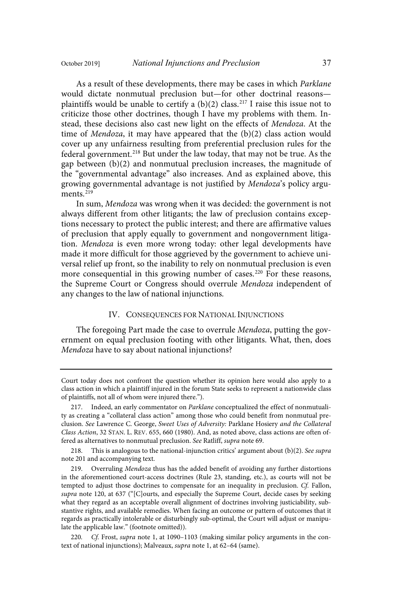As a result of these developments, there may be cases in which Parklane would dictate nonmutual preclusion but—for other doctrinal reasons plaintiffs would be unable to certify a  $(b)(2)$  class.<sup>217</sup> I raise this issue not to criticize those other doctrines, though I have my problems with them. Instead, these decisions also cast new light on the effects of Mendoza. At the time of Mendoza, it may have appeared that the (b)(2) class action would cover up any unfairness resulting from preferential preclusion rules for the federal government.<sup>218</sup> But under the law today, that may not be true. As the gap between (b)(2) and nonmutual preclusion increases, the magnitude of the "governmental advantage" also increases. And as explained above, this growing governmental advantage is not justified by Mendoza's policy arguments.<sup>219</sup>

In sum, Mendoza was wrong when it was decided: the government is not always different from other litigants; the law of preclusion contains exceptions necessary to protect the public interest; and there are affirmative values of preclusion that apply equally to government and nongovernment litigation. Mendoza is even more wrong today: other legal developments have made it more difficult for those aggrieved by the government to achieve universal relief up front, so the inability to rely on nonmutual preclusion is even more consequential in this growing number of cases.<sup>220</sup> For these reasons, the Supreme Court or Congress should overrule Mendoza independent of any changes to the law of national injunctions.

#### IV. CONSEQUENCES FOR NATIONAL INJUNCTIONS

The foregoing Part made the case to overrule Mendoza, putting the government on equal preclusion footing with other litigants. What, then, does Mendoza have to say about national injunctions?

Court today does not confront the question whether its opinion here would also apply to a class action in which a plaintiff injured in the forum State seeks to represent a nationwide class of plaintiffs, not all of whom were injured there.").

<sup>217.</sup> Indeed, an early commentator on Parklane conceptualized the effect of nonmutuality as creating a "collateral class action" among those who could benefit from nonmutual preclusion. See Lawrence C. George, Sweet Uses of Adversity: Parklane Hosiery and the Collateral Class Action, 32 STAN. L. REV. 655, 660 (1980). And, as noted above, class actions are often offered as alternatives to nonmutual preclusion. See Ratliff, supra note 69.

<sup>218.</sup> This is analogous to the national-injunction critics' argument about (b)(2). See supra note 201 and accompanying text.

<sup>219.</sup> Overruling Mendoza thus has the added benefit of avoiding any further distortions in the aforementioned court-access doctrines (Rule 23, standing, etc.), as courts will not be tempted to adjust those doctrines to compensate for an inequality in preclusion. Cf. Fallon, supra note 120, at 637 ("[C]ourts, and especially the Supreme Court, decide cases by seeking what they regard as an acceptable overall alignment of doctrines involving justiciability, substantive rights, and available remedies. When facing an outcome or pattern of outcomes that it regards as practically intolerable or disturbingly sub-optimal, the Court will adjust or manipulate the applicable law." (footnote omitted)).

<sup>220.</sup> Cf. Frost, supra note 1, at 1090-1103 (making similar policy arguments in the context of national injunctions); Malveaux, supra note 1, at 62–64 (same).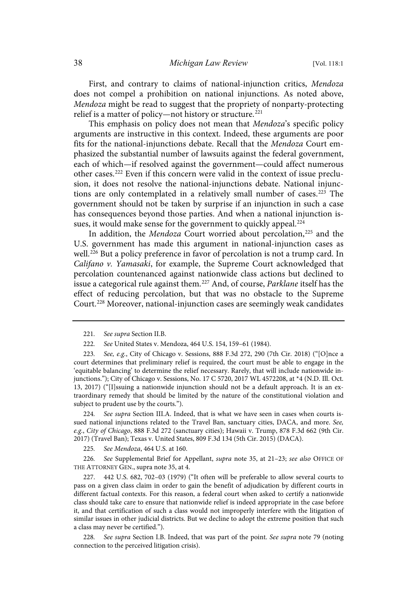First, and contrary to claims of national-injunction critics, Mendoza does not compel a prohibition on national injunctions. As noted above, Mendoza might be read to suggest that the propriety of nonparty-protecting relief is a matter of policy-not history or structure.<sup>221</sup>

This emphasis on policy does not mean that Mendoza's specific policy arguments are instructive in this context. Indeed, these arguments are poor fits for the national-injunctions debate. Recall that the Mendoza Court emphasized the substantial number of lawsuits against the federal government, each of which—if resolved against the government—could affect numerous other cases.<sup>222</sup> Even if this concern were valid in the context of issue preclusion, it does not resolve the national-injunctions debate. National injunctions are only contemplated in a relatively small number of cases.<sup>223</sup> The government should not be taken by surprise if an injunction in such a case has consequences beyond those parties. And when a national injunction issues, it would make sense for the government to quickly appeal.<sup>224</sup>

In addition, the Mendoza Court worried about percolation,<sup>225</sup> and the U.S. government has made this argument in national-injunction cases as well.<sup>226</sup> But a policy preference in favor of percolation is not a trump card. In Califano v. Yamasaki, for example, the Supreme Court acknowledged that percolation countenanced against nationwide class actions but declined to issue a categorical rule against them.<sup>227</sup> And, of course, Parklane itself has the effect of reducing percolation, but that was no obstacle to the Supreme Court. <sup>228</sup> Moreover, national-injunction cases are seemingly weak candidates

224. See supra Section III.A. Indeed, that is what we have seen in cases when courts issued national injunctions related to the Travel Ban, sanctuary cities, DACA, and more. See, e.g., City of Chicago, 888 F.3d 272 (sanctuary cities); Hawaii v. Trump, 878 F.3d 662 (9th Cir. 2017) (Travel Ban); Texas v. United States, 809 F.3d 134 (5th Cir. 2015) (DACA).

225. See Mendoza, 464 U.S. at 160.

226. See Supplemental Brief for Appellant, supra note 35, at 21-23; see also OFFICE OF THE ATTORNEY GEN., supra note 35, at 4.

227. 442 U.S. 682, 702–03 (1979) ("It often will be preferable to allow several courts to pass on a given class claim in order to gain the benefit of adjudication by different courts in different factual contexts. For this reason, a federal court when asked to certify a nationwide class should take care to ensure that nationwide relief is indeed appropriate in the case before it, and that certification of such a class would not improperly interfere with the litigation of similar issues in other judicial districts. But we decline to adopt the extreme position that such a class may never be certified.").

228. See supra Section I.B. Indeed, that was part of the point. See supra note 79 (noting connection to the perceived litigation crisis).

<sup>221.</sup> See supra Section II.B.

<sup>222</sup> . See United States v. Mendoza, 464 U.S. 154, 159–61 (1984).

<sup>223.</sup> See, e.g., City of Chicago v. Sessions, 888 F.3d 272, 290 (7th Cir. 2018) ("[O]nce a court determines that preliminary relief is required, the court must be able to engage in the 'equitable balancing' to determine the relief necessary. Rarely, that will include nationwide injunctions."); City of Chicago v. Sessions, No. 17 C 5720, 2017 WL 4572208, at \*4 (N.D. Ill. Oct. 13, 2017) ("[I]ssuing a nationwide injunction should not be a default approach. It is an extraordinary remedy that should be limited by the nature of the constitutional violation and subject to prudent use by the courts.").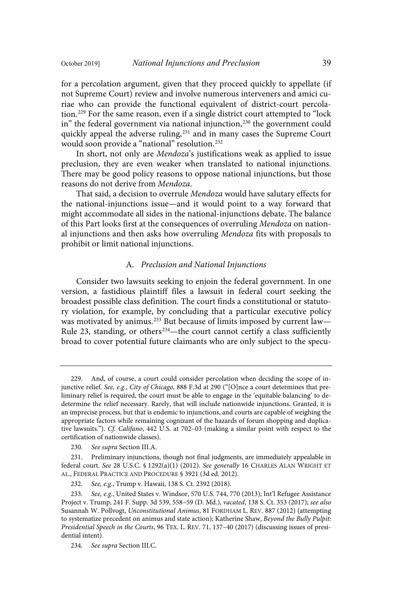for a percolation argument, given that they proceed quickly to appellate (if not Supreme Court) review and involve numerous interveners and amici curiae who can provide the functional equivalent of district-court percolation. <sup>229</sup> For the same reason, even if a single district court attempted to "lock in" the federal government via national injunction,<sup>230</sup> the government could quickly appeal the adverse ruling,<sup>231</sup> and in many cases the Supreme Court would soon provide a "national" resolution.<sup>232</sup>

In short, not only are Mendoza's justifications weak as applied to issue preclusion, they are even weaker when translated to national injunctions. There may be good policy reasons to oppose national injunctions, but those reasons do not derive from Mendoza.

That said, a decision to overrule Mendoza would have salutary effects for the national-injunctions issue—and it would point to a way forward that might accommodate all sides in the national-injunctions debate. The balance of this Part looks first at the consequences of overruling Mendoza on national injunctions and then asks how overruling Mendoza fits with proposals to prohibit or limit national injunctions.

## A. Preclusion and National Injunctions

Consider two lawsuits seeking to enjoin the federal government. In one version, a fastidious plaintiff files a lawsuit in federal court seeking the broadest possible class definition. The court finds a constitutional or statutory violation, for example, by concluding that a particular executive policy was motivated by animus.<sup>233</sup> But because of limits imposed by current law— Rule 23, standing, or others<sup>234</sup>—the court cannot certify a class sufficiently broad to cover potential future claimants who are only subject to the specu-

<sup>229.</sup> And, of course, a court could consider percolation when deciding the scope of injunctive relief. See, e.g., City of Chicago, 888 F.3d at 290 ("[O]nce a court determines that preliminary relief is required, the court must be able to engage in the 'equitable balancing' to dedetermine the relief necessary. Rarely, that will include nationwide injunctions. Granted, it is an imprecise process, but that is endemic to injunctions, and courts are capable of weighing the appropriate factors while remaining cognizant of the hazards of forum shopping and duplicative lawsuits."). Cf. Califano, 442 U.S. at 702-03 (making a similar point with respect to the certification of nationwide classes).

<sup>230.</sup> See supra Section III.A.

<sup>231.</sup> Preliminary injunctions, though not final judgments, are immediately appealable in federal court. See 28 U.S.C. § 1292(a)(1) (2012). See generally 16 CHARLES ALAN WRIGHT ET AL., FEDERAL PRACTICE AND PROCEDURE § 3921 (3d ed. 2012).

<sup>232.</sup> See, e.g., Trump v. Hawaii, 138 S. Ct. 2392 (2018).

<sup>233.</sup> See, e.g., United States v. Windsor, 570 U.S. 744, 770 (2013); Int'l Refugee Assistance Project v. Trump, 241 F. Supp. 3d 539, 558–59 (D. Md.), vacated, 138 S. Ct. 353 (2017); see also Susannah W. Pollvogt, Unconstitutional Animus, 81 FORDHAM L. REV. 887 (2012) (attempting to systematize precedent on animus and state action); Katherine Shaw, Beyond the Bully Pulpit: Presidential Speech in the Courts, 96 TEX. L. REV. 71, 137–40 (2017) (discussing issues of presidential intent).

<sup>234.</sup> See supra Section III.C.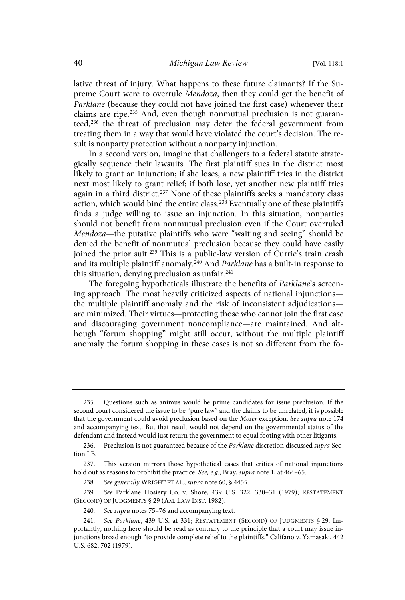lative threat of injury. What happens to these future claimants? If the Supreme Court were to overrule Mendoza, then they could get the benefit of Parklane (because they could not have joined the first case) whenever their claims are ripe. <sup>235</sup> And, even though nonmutual preclusion is not guaranteed,<sup>236</sup> the threat of preclusion may deter the federal government from treating them in a way that would have violated the court's decision. The result is nonparty protection without a nonparty injunction.

In a second version, imagine that challengers to a federal statute strategically sequence their lawsuits. The first plaintiff sues in the district most likely to grant an injunction; if she loses, a new plaintiff tries in the district next most likely to grant relief; if both lose, yet another new plaintiff tries again in a third district.<sup>237</sup> None of these plaintiffs seeks a mandatory class action, which would bind the entire class.<sup>238</sup> Eventually one of these plaintiffs finds a judge willing to issue an injunction. In this situation, nonparties should not benefit from nonmutual preclusion even if the Court overruled Mendoza—the putative plaintiffs who were "waiting and seeing" should be denied the benefit of nonmutual preclusion because they could have easily joined the prior suit. <sup>239</sup> This is a public-law version of Currie's train crash and its multiple plaintiff anomaly.<sup>240</sup> And Parklane has a built-in response to this situation, denying preclusion as unfair.<sup>241</sup>

The foregoing hypotheticals illustrate the benefits of Parklane's screening approach. The most heavily criticized aspects of national injunctions the multiple plaintiff anomaly and the risk of inconsistent adjudications are minimized. Their virtues—protecting those who cannot join the first case and discouraging government noncompliance—are maintained. And although "forum shopping" might still occur, without the multiple plaintiff anomaly the forum shopping in these cases is not so different from the fo-

<sup>235.</sup> Questions such as animus would be prime candidates for issue preclusion. If the second court considered the issue to be "pure law" and the claims to be unrelated, it is possible that the government could avoid preclusion based on the Moser exception. See supra note 174 and accompanying text. But that result would not depend on the governmental status of the defendant and instead would just return the government to equal footing with other litigants.

<sup>236.</sup> Preclusion is not guaranteed because of the Parklane discretion discussed supra Section I.B.

<sup>237.</sup> This version mirrors those hypothetical cases that critics of national injunctions hold out as reasons to prohibit the practice. See, e.g., Bray, supra note 1, at 464-65.

<sup>238.</sup> See generally WRIGHT ET AL., supra note 60, § 4455.

<sup>239.</sup> See Parklane Hosiery Co. v. Shore, 439 U.S. 322, 330-31 (1979); RESTATEMENT (SECOND) OF JUDGMENTS § 29 (AM. LAW INST. 1982).

<sup>240.</sup> See supra notes 75-76 and accompanying text.

<sup>241.</sup> See Parklane, 439 U.S. at 331; RESTATEMENT (SECOND) OF JUDGMENTS § 29. Importantly, nothing here should be read as contrary to the principle that a court may issue injunctions broad enough "to provide complete relief to the plaintiffs." Califano v. Yamasaki, 442 U.S. 682, 702 (1979).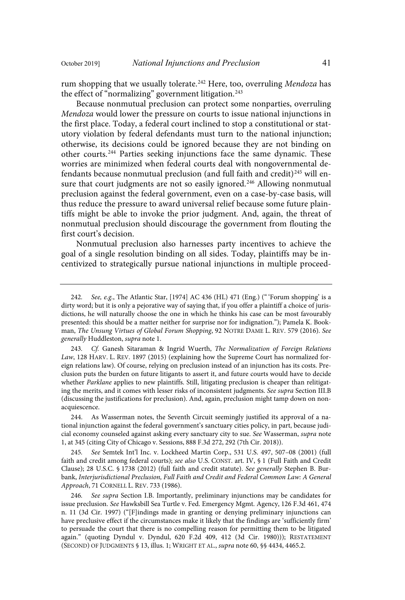rum shopping that we usually tolerate.<sup>242</sup> Here, too, overruling Mendoza has the effect of "normalizing" government litigation.<sup>243</sup>

Because nonmutual preclusion can protect some nonparties, overruling Mendoza would lower the pressure on courts to issue national injunctions in the first place. Today, a federal court inclined to stop a constitutional or statutory violation by federal defendants must turn to the national injunction; otherwise, its decisions could be ignored because they are not binding on other courts.<sup>244</sup> Parties seeking injunctions face the same dynamic. These worries are minimized when federal courts deal with nongovernmental defendants because nonmutual preclusion (and full faith and credit) <sup>245</sup> will ensure that court judgments are not so easily ignored.<sup>246</sup> Allowing nonmutual preclusion against the federal government, even on a case-by-case basis, will thus reduce the pressure to award universal relief because some future plaintiffs might be able to invoke the prior judgment. And, again, the threat of nonmutual preclusion should discourage the government from flouting the first court's decision.

Nonmutual preclusion also harnesses party incentives to achieve the goal of a single resolution binding on all sides. Today, plaintiffs may be incentivized to strategically pursue national injunctions in multiple proceed-

243. Cf. Ganesh Sitaraman & Ingrid Wuerth, The Normalization of Foreign Relations Law, 128 HARV. L. REV. 1897 (2015) (explaining how the Supreme Court has normalized foreign relations law). Of course, relying on preclusion instead of an injunction has its costs. Preclusion puts the burden on future litigants to assert it, and future courts would have to decide whether Parklane applies to new plaintiffs. Still, litigating preclusion is cheaper than relitigating the merits, and it comes with lesser risks of inconsistent judgments. See supra Section III.B (discussing the justifications for preclusion). And, again, preclusion might tamp down on nonacquiescence.

244. As Wasserman notes, the Seventh Circuit seemingly justified its approval of a national injunction against the federal government's sanctuary cities policy, in part, because judicial economy counseled against asking every sanctuary city to sue. See Wasserman, supra note 1, at 345 (citing City of Chicago v. Sessions, 888 F.3d 272, 292 (7th Cir. 2018)).

245 . See Semtek Int'l Inc. v. Lockheed Martin Corp., 531 U.S. 497, 507–08 (2001) (full faith and credit among federal courts); see also U.S. CONST. art. IV, § 1 (Full Faith and Credit Clause); 28 U.S.C. § 1738 (2012) (full faith and credit statute). See generally Stephen B. Burbank, Interjurisdictional Preclusion, Full Faith and Credit and Federal Common Law: A General Approach, 71 CORNELL L. REV. 733 (1986).

246. See supra Section I.B. Importantly, preliminary injunctions may be candidates for issue preclusion. See Hawksbill Sea Turtle v. Fed. Emergency Mgmt. Agency, 126 F.3d 461, 474 n. 11 (3d Cir. 1997) ("[F]indings made in granting or denying preliminary injunctions can have preclusive effect if the circumstances make it likely that the findings are 'sufficiently firm' to persuade the court that there is no compelling reason for permitting them to be litigated again." (quoting Dyndul v. Dyndul, 620 F.2d 409, 412 (3d Cir. 1980))); RESTATEMENT (SECOND) OF JUDGMENTS § 13, illus. 1; WRIGHT ET AL., supra note 60, §§ 4434, 4465.2.

<sup>242.</sup> See, e.g., The Atlantic Star, [1974] AC 436 (HL) 471 (Eng.) ("'Forum shopping' is a dirty word; but it is only a pejorative way of saying that, if you offer a plaintiff a choice of jurisdictions, he will naturally choose the one in which he thinks his case can be most favourably presented: this should be a matter neither for surprise nor for indignation."); Pamela K. Bookman, The Unsung Virtues of Global Forum Shopping, 92 NOTRE DAME L. REV. 579 (2016). See generally Huddleston, supra note 1.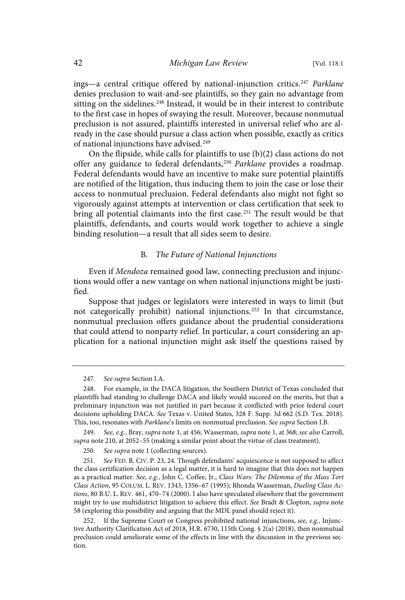ings—a central critique offered by national-injunction critics.<sup>247</sup> Parklane denies preclusion to wait-and-see plaintiffs, so they gain no advantage from sitting on the sidelines.<sup>248</sup> Instead, it would be in their interest to contribute to the first case in hopes of swaying the result. Moreover, because nonmutual preclusion is not assured, plaintiffs interested in universal relief who are already in the case should pursue a class action when possible, exactly as critics of national injunctions have advised.<sup>249</sup>

On the flipside, while calls for plaintiffs to use (b)(2) class actions do not offer any guidance to federal defendants,<sup>250</sup> Parklane provides a roadmap. Federal defendants would have an incentive to make sure potential plaintiffs are notified of the litigation, thus inducing them to join the case or lose their access to nonmutual preclusion. Federal defendants also might not fight so vigorously against attempts at intervention or class certification that seek to bring all potential claimants into the first case.<sup>251</sup> The result would be that plaintiffs, defendants, and courts would work together to achieve a single binding resolution—a result that all sides seem to desire.

#### B. The Future of National Injunctions

Even if Mendoza remained good law, connecting preclusion and injunctions would offer a new vantage on when national injunctions might be justified.

Suppose that judges or legislators were interested in ways to limit (but not categorically prohibit) national injunctions.<sup>252</sup> In that circumstance, nonmutual preclusion offers guidance about the prudential considerations that could attend to nonparty relief. In particular, a court considering an application for a national injunction might ask itself the questions raised by

<sup>247.</sup> See supra Section I.A.

<sup>248.</sup> For example, in the DACA litigation, the Southern District of Texas concluded that plaintiffs had standing to challenge DACA and likely would succeed on the merits, but that a preliminary injunction was not justified in part because it conflicted with prior federal court decisions upholding DACA. See Texas v. United States, 328 F. Supp. 3d 662 (S.D. Tex. 2018). This, too, resonates with Parklane's limits on nonmutual preclusion. See supra Section I.B.

<sup>249.</sup> See, e.g., Bray, supra note 1, at 456; Wasserman, supra note 1, at 368; see also Carroll, supra note 210, at 2052–55 (making a similar point about the virtue of class treatment).

<sup>250.</sup> See supra note 1 (collecting sources).

<sup>251.</sup> See FED. R. CIV. P. 23, 24. Though defendants' acquiescence is not supposed to affect the class certification decision as a legal matter, it is hard to imagine that this does not happen as a practical matter. See, e.g., John C. Coffee, Jr., Class Wars: The Dilemma of the Mass Tort Class Action, 95 COLUM. L. REV. 1343, 1356–67 (1995); Rhonda Wasserman, Dueling Class Actions, 80 B.U. L. REV. 461, 470–74 (2000). I also have speculated elsewhere that the government might try to use multidistrict litigation to achieve this effect. See Bradt & Clopton, supra note 58 (exploring this possibility and arguing that the MDL panel should reject it).

<sup>252.</sup> If the Supreme Court or Congress prohibited national injunctions, see, e.g., Injunctive Authority Clarification Act of 2018, H.R. 6730, 115th Cong. § 2(a) (2018), then nonmutual preclusion could ameliorate some of the effects in line with the discussion in the previous section.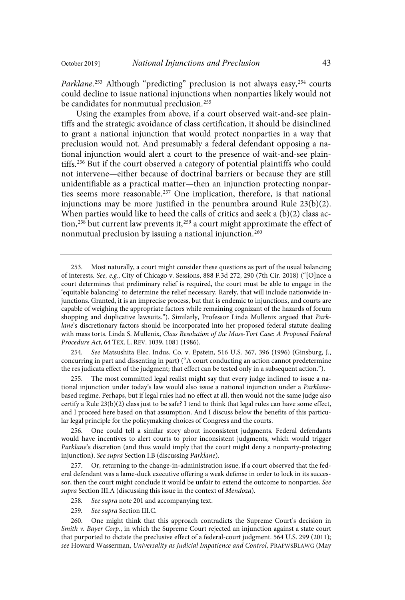Parklane.<sup>253</sup> Although "predicting" preclusion is not always easy,<sup>254</sup> courts could decline to issue national injunctions when nonparties likely would not be candidates for nonmutual preclusion.<sup>255</sup>

Using the examples from above, if a court observed wait-and-see plaintiffs and the strategic avoidance of class certification, it should be disinclined to grant a national injunction that would protect nonparties in a way that preclusion would not. And presumably a federal defendant opposing a national injunction would alert a court to the presence of wait-and-see plaintiffs. <sup>256</sup> But if the court observed a category of potential plaintiffs who could not intervene—either because of doctrinal barriers or because they are still unidentifiable as a practical matter—then an injunction protecting nonparties seems more reasonable.<sup>257</sup> One implication, therefore, is that national injunctions may be more justified in the penumbra around Rule 23(b)(2). When parties would like to heed the calls of critics and seek a (b)(2) class action, <sup>258</sup> but current law prevents it, <sup>259</sup> a court might approximate the effect of nonmutual preclusion by issuing a national injunction.<sup>260</sup>

254. See Matsushita Elec. Indus. Co. v. Epstein, 516 U.S. 367, 396 (1996) (Ginsburg, J., concurring in part and dissenting in part) ("A court conducting an action cannot predetermine the res judicata effect of the judgment; that effect can be tested only in a subsequent action.").

255. The most committed legal realist might say that every judge inclined to issue a national injunction under today's law would also issue a national injunction under a Parklanebased regime. Perhaps, but if legal rules had no effect at all, then would not the same judge also certify a Rule 23(b)(2) class just to be safe? I tend to think that legal rules can have some effect, and I proceed here based on that assumption. And I discuss below the benefits of this particular legal principle for the policymaking choices of Congress and the courts.

256. One could tell a similar story about inconsistent judgments. Federal defendants would have incentives to alert courts to prior inconsistent judgments, which would trigger Parklane's discretion (and thus would imply that the court might deny a nonparty-protecting injunction). See supra Section I.B (discussing Parklane).

257. Or, returning to the change-in-administration issue, if a court observed that the federal defendant was a lame-duck executive offering a weak defense in order to lock in its successor, then the court might conclude it would be unfair to extend the outcome to nonparties. See supra Section III.A (discussing this issue in the context of Mendoza).

258. See supra note 201 and accompanying text.

259. See supra Section III.C.

260. One might think that this approach contradicts the Supreme Court's decision in Smith v. Bayer Corp., in which the Supreme Court rejected an injunction against a state court that purported to dictate the preclusive effect of a federal-court judgment. 564 U.S. 299 (2011); see Howard Wasserman, Universality as Judicial Impatience and Control, PRAFWSBLAWG (May

<sup>253.</sup> Most naturally, a court might consider these questions as part of the usual balancing of interests. See, e.g., City of Chicago v. Sessions, 888 F.3d 272, 290 (7th Cir. 2018) ("[O]nce a court determines that preliminary relief is required, the court must be able to engage in the 'equitable balancing' to determine the relief necessary. Rarely, that will include nationwide injunctions. Granted, it is an imprecise process, but that is endemic to injunctions, and courts are capable of weighing the appropriate factors while remaining cognizant of the hazards of forum shopping and duplicative lawsuits."). Similarly, Professor Linda Mullenix argued that Parklane's discretionary factors should be incorporated into her proposed federal statute dealing with mass torts. Linda S. Mullenix, Class Resolution of the Mass-Tort Case: A Proposed Federal Procedure Act, 64 TEX. L. REV. 1039, 1081 (1986).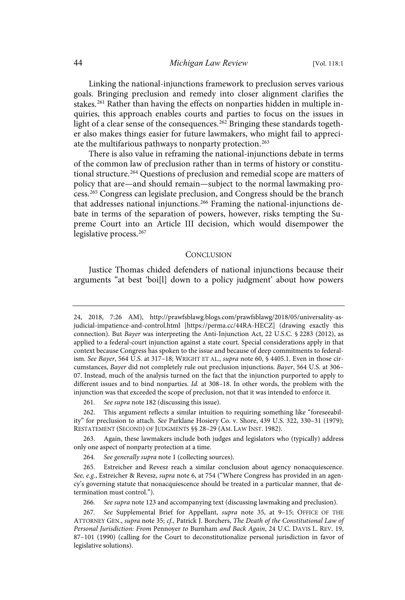Linking the national-injunctions framework to preclusion serves various goals. Bringing preclusion and remedy into closer alignment clarifies the stakes.<sup>261</sup> Rather than having the effects on nonparties hidden in multiple inquiries, this approach enables courts and parties to focus on the issues in light of a clear sense of the consequences. <sup>262</sup> Bringing these standards together also makes things easier for future lawmakers, who might fail to appreciate the multifarious pathways to nonparty protection. 263

There is also value in reframing the national-injunctions debate in terms of the common law of preclusion rather than in terms of history or constitutional structure.<sup>264</sup> Questions of preclusion and remedial scope are matters of policy that are—and should remain—subject to the normal lawmaking process.<sup>265</sup> Congress can legislate preclusion, and Congress should be the branch that addresses national injunctions.<sup>266</sup> Framing the national-injunctions debate in terms of the separation of powers, however, risks tempting the Supreme Court into an Article III decision, which would disempower the legislative process. 267

#### **CONCLUSION**

Justice Thomas chided defenders of national injunctions because their arguments "at best 'boi[l] down to a policy judgment' about how powers

261. See supra note 182 (discussing this issue).

266. See supra note 123 and accompanying text (discussing lawmaking and preclusion).

<sup>24,</sup> 2018, 7:26 AM), http://prawfsblawg.blogs.com/prawfsblawg/2018/05/universality-asjudicial-impatience-and-control.html [https://perma.cc/44RA-HECZ] (drawing exactly this connection). But Bayer was interpreting the Anti-Injunction Act, 22 U.S.C. § 2283 (2012), as applied to a federal-court injunction against a state court. Special considerations apply in that context because Congress has spoken to the issue and because of deep commitments to federalism. See Bayer, 564 U.S. at 317-18; WRIGHT ET AL., supra note 60, § 4405.1. Even in those circumstances, Bayer did not completely rule out preclusion injunctions. Bayer, 564 U.S. at 306– 07. Instead, much of the analysis turned on the fact that the injunction purported to apply to different issues and to bind nonparties. Id. at 308-18. In other words, the problem with the injunction was that exceeded the scope of preclusion, not that it was intended to enforce it.

<sup>262.</sup> This argument reflects a similar intuition to requiring something like "foreseeability" for preclusion to attach. See Parklane Hosiery Co. v. Shore, 439 U.S. 322, 330–31 (1979); RESTATEMENT (SECOND) OF JUDGMENTS §§ 28–29 (AM. LAW INST. 1982).

<sup>263.</sup> Again, these lawmakers include both judges and legislators who (typically) address only one aspect of nonparty protection at a time.

<sup>264.</sup> See generally supra note 1 (collecting sources).

<sup>265.</sup> Estreicher and Revesz reach a similar conclusion about agency nonacquiescence. See, e.g., Estreicher & Revesz, supra note 6, at 754 ("Where Congress has provided in an agency's governing statute that nonacquiescence should be treated in a particular manner, that determination must control.").

<sup>267.</sup> See Supplemental Brief for Appellant, supra note 35, at 9-15; OFFICE OF THE ATTORNEY GEN., supra note 35; cf., Patrick J. Borchers, The Death of the Constitutional Law of Personal Jurisdiction: From Pennoyer to Burnham and Back Again, 24 U.C. DAVIS L. REV. 19, 87–101 (1990) (calling for the Court to deconstitutionalize personal jurisdiction in favor of legislative solutions).